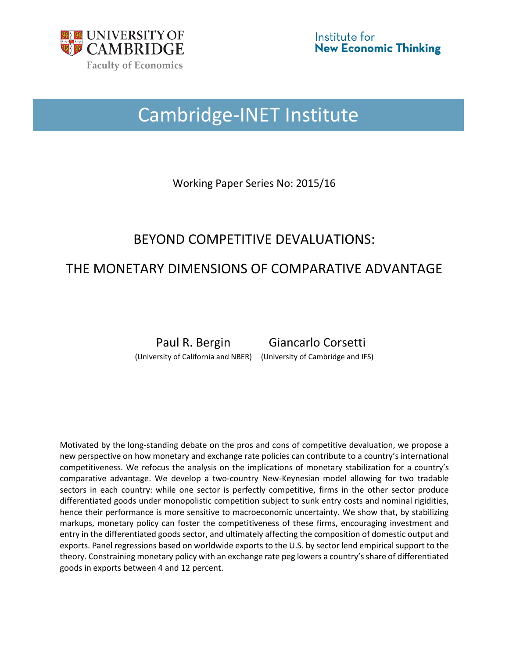

# Cambridge-INET Institute

Working Paper Series No: 2015/16

# BEYOND COMPETITIVE DEVALUATIONS:

# THE MONETARY DIMENSIONS OF COMPARATIVE ADVANTAGE

Paul R. Bergin Giancarlo Corsetti (University of California and NBER) (University of Cambridge and IFS)

Motivated by the long-standing debate on the pros and cons of competitive devaluation, we propose a new perspective on how monetary and exchange rate policies can contribute to a country's international competitiveness. We refocus the analysis on the implications of monetary stabilization for a country's comparative advantage. We develop a two-country New-Keynesian model allowing for two tradable sectors in each country: while one sector is perfectly competitive, firms in the other sector produce differentiated goods under monopolistic competition subject to sunk entry costs and nominal rigidities, hence their performance is more sensitive to macroeconomic uncertainty. We show that, by stabilizing markups, monetary policy can foster the competitiveness of these firms, encouraging investment and entry in the differentiated goods sector, and ultimately affecting the composition of domestic output and exports. Panel regressions based on worldwide exports to the U.S. by sector lend empirical support to the theory. Constraining monetary policy with an exchange rate peg lowers a country's share of differentiated goods in exports between 4 and 12 percent.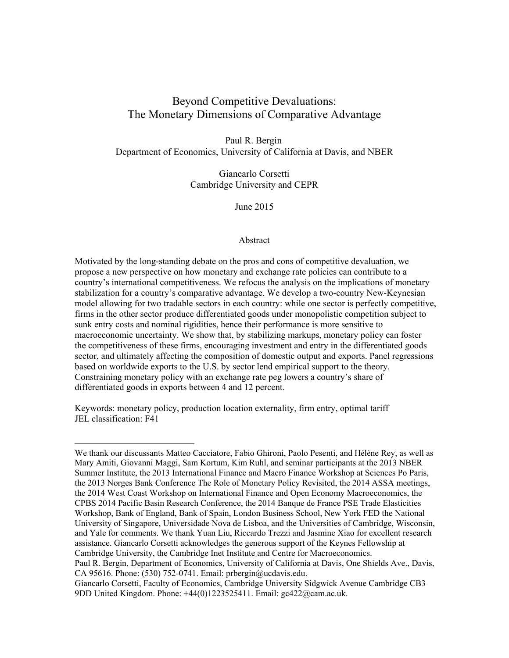## Beyond Competitive Devaluations: The Monetary Dimensions of Comparative Advantage

Paul R. Bergin Department of Economics, University of California at Davis, and NBER

> Giancarlo Corsetti Cambridge University and CEPR

> > June 2015

#### Abstract

Motivated by the long-standing debate on the pros and cons of competitive devaluation, we propose a new perspective on how monetary and exchange rate policies can contribute to a country's international competitiveness. We refocus the analysis on the implications of monetary stabilization for a country's comparative advantage. We develop a two-country New-Keynesian model allowing for two tradable sectors in each country: while one sector is perfectly competitive, firms in the other sector produce differentiated goods under monopolistic competition subject to sunk entry costs and nominal rigidities, hence their performance is more sensitive to macroeconomic uncertainty. We show that, by stabilizing markups, monetary policy can foster the competitiveness of these firms, encouraging investment and entry in the differentiated goods sector, and ultimately affecting the composition of domestic output and exports. Panel regressions based on worldwide exports to the U.S. by sector lend empirical support to the theory. Constraining monetary policy with an exchange rate peg lowers a country's share of differentiated goods in exports between 4 and 12 percent.

Keywords: monetary policy, production location externality, firm entry, optimal tariff JEL classification: F41

 $\overline{a}$ 

We thank our discussants Matteo Cacciatore, Fabio Ghironi, Paolo Pesenti, and Hélène Rey, as well as Mary Amiti, Giovanni Maggi, Sam Kortum, Kim Ruhl, and seminar participants at the 2013 NBER Summer Institute, the 2013 International Finance and Macro Finance Workshop at Sciences Po Paris, the 2013 Norges Bank Conference The Role of Monetary Policy Revisited, the 2014 ASSA meetings, the 2014 West Coast Workshop on International Finance and Open Economy Macroeconomics, the CPBS 2014 Pacific Basin Research Conference, the 2014 Banque de France PSE Trade Elasticities Workshop, Bank of England, Bank of Spain, London Business School, New York FED the National University of Singapore, Universidade Nova de Lisboa, and the Universities of Cambridge, Wisconsin, and Yale for comments. We thank Yuan Liu, Riccardo Trezzi and Jasmine Xiao for excellent research assistance. Giancarlo Corsetti acknowledges the generous support of the Keynes Fellowship at Cambridge University, the Cambridge Inet Institute and Centre for Macroeconomics.

Paul R. Bergin, Department of Economics, University of California at Davis, One Shields Ave., Davis, CA 95616. Phone: (530) 752-0741. Email: prbergin@ucdavis.edu.

Giancarlo Corsetti, Faculty of Economics, Cambridge University Sidgwick Avenue Cambridge CB3 9DD United Kingdom. Phone: +44(0)1223525411. Email: gc422@cam.ac.uk.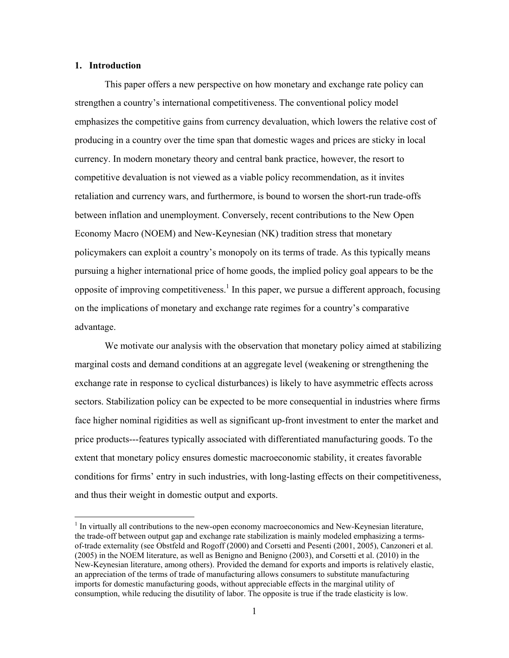#### **1. Introduction**

 $\overline{a}$ 

This paper offers a new perspective on how monetary and exchange rate policy can strengthen a country's international competitiveness. The conventional policy model emphasizes the competitive gains from currency devaluation, which lowers the relative cost of producing in a country over the time span that domestic wages and prices are sticky in local currency. In modern monetary theory and central bank practice, however, the resort to competitive devaluation is not viewed as a viable policy recommendation, as it invites retaliation and currency wars, and furthermore, is bound to worsen the short-run trade-offs between inflation and unemployment. Conversely, recent contributions to the New Open Economy Macro (NOEM) and New-Keynesian (NK) tradition stress that monetary policymakers can exploit a country's monopoly on its terms of trade. As this typically means pursuing a higher international price of home goods, the implied policy goal appears to be the opposite of improving competitiveness.<sup>1</sup> In this paper, we pursue a different approach, focusing on the implications of monetary and exchange rate regimes for a country's comparative advantage.

We motivate our analysis with the observation that monetary policy aimed at stabilizing marginal costs and demand conditions at an aggregate level (weakening or strengthening the exchange rate in response to cyclical disturbances) is likely to have asymmetric effects across sectors. Stabilization policy can be expected to be more consequential in industries where firms face higher nominal rigidities as well as significant up-front investment to enter the market and price products---features typically associated with differentiated manufacturing goods. To the extent that monetary policy ensures domestic macroeconomic stability, it creates favorable conditions for firms' entry in such industries, with long-lasting effects on their competitiveness, and thus their weight in domestic output and exports.

<sup>&</sup>lt;sup>1</sup> In virtually all contributions to the new-open economy macroeconomics and New-Keynesian literature, the trade-off between output gap and exchange rate stabilization is mainly modeled emphasizing a termsof-trade externality (see Obstfeld and Rogoff (2000) and Corsetti and Pesenti (2001, 2005), Canzoneri et al. (2005) in the NOEM literature, as well as Benigno and Benigno (2003), and Corsetti et al. (2010) in the New-Keynesian literature, among others). Provided the demand for exports and imports is relatively elastic, an appreciation of the terms of trade of manufacturing allows consumers to substitute manufacturing imports for domestic manufacturing goods, without appreciable effects in the marginal utility of consumption, while reducing the disutility of labor. The opposite is true if the trade elasticity is low.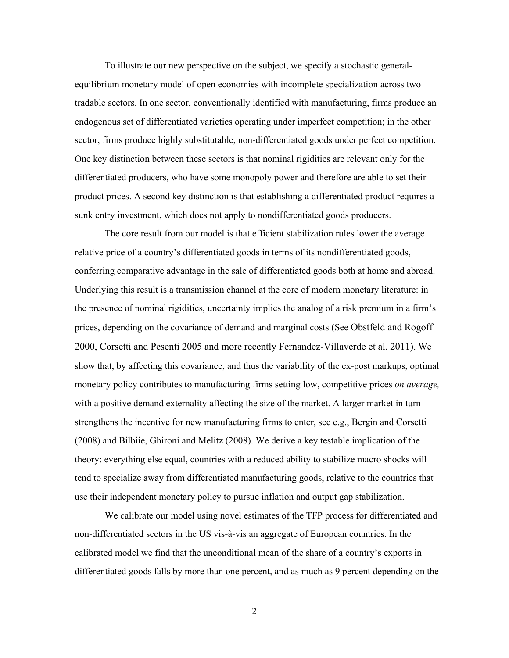To illustrate our new perspective on the subject, we specify a stochastic generalequilibrium monetary model of open economies with incomplete specialization across two tradable sectors. In one sector, conventionally identified with manufacturing, firms produce an endogenous set of differentiated varieties operating under imperfect competition; in the other sector, firms produce highly substitutable, non-differentiated goods under perfect competition. One key distinction between these sectors is that nominal rigidities are relevant only for the differentiated producers, who have some monopoly power and therefore are able to set their product prices. A second key distinction is that establishing a differentiated product requires a sunk entry investment, which does not apply to nondifferentiated goods producers.

The core result from our model is that efficient stabilization rules lower the average relative price of a country's differentiated goods in terms of its nondifferentiated goods, conferring comparative advantage in the sale of differentiated goods both at home and abroad. Underlying this result is a transmission channel at the core of modern monetary literature: in the presence of nominal rigidities, uncertainty implies the analog of a risk premium in a firm's prices, depending on the covariance of demand and marginal costs (See Obstfeld and Rogoff 2000, Corsetti and Pesenti 2005 and more recently Fernandez-Villaverde et al. 2011). We show that, by affecting this covariance, and thus the variability of the ex-post markups, optimal monetary policy contributes to manufacturing firms setting low, competitive prices *on average,* with a positive demand externality affecting the size of the market. A larger market in turn strengthens the incentive for new manufacturing firms to enter, see e.g., Bergin and Corsetti (2008) and Bilbiie, Ghironi and Melitz (2008). We derive a key testable implication of the theory: everything else equal, countries with a reduced ability to stabilize macro shocks will tend to specialize away from differentiated manufacturing goods, relative to the countries that use their independent monetary policy to pursue inflation and output gap stabilization.

We calibrate our model using novel estimates of the TFP process for differentiated and non-differentiated sectors in the US vis-à-vis an aggregate of European countries. In the calibrated model we find that the unconditional mean of the share of a country's exports in differentiated goods falls by more than one percent, and as much as 9 percent depending on the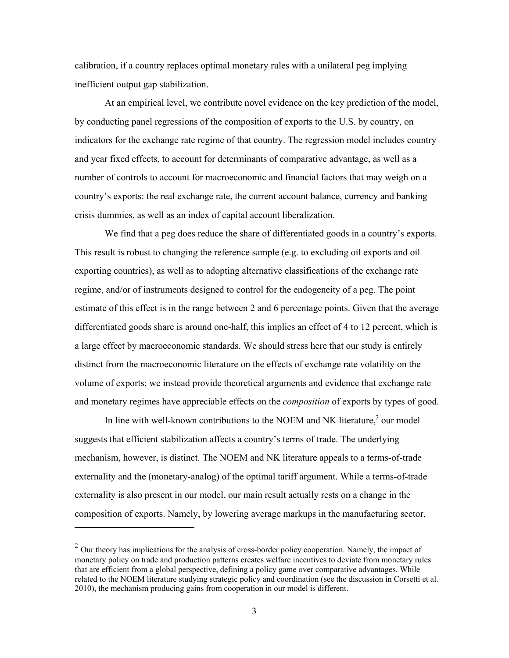calibration, if a country replaces optimal monetary rules with a unilateral peg implying inefficient output gap stabilization.

At an empirical level, we contribute novel evidence on the key prediction of the model, by conducting panel regressions of the composition of exports to the U.S. by country, on indicators for the exchange rate regime of that country. The regression model includes country and year fixed effects, to account for determinants of comparative advantage, as well as a number of controls to account for macroeconomic and financial factors that may weigh on a country's exports: the real exchange rate, the current account balance, currency and banking crisis dummies, as well as an index of capital account liberalization.

We find that a peg does reduce the share of differentiated goods in a country's exports. This result is robust to changing the reference sample (e.g. to excluding oil exports and oil exporting countries), as well as to adopting alternative classifications of the exchange rate regime, and/or of instruments designed to control for the endogeneity of a peg. The point estimate of this effect is in the range between 2 and 6 percentage points. Given that the average differentiated goods share is around one-half, this implies an effect of 4 to 12 percent, which is a large effect by macroeconomic standards. We should stress here that our study is entirely distinct from the macroeconomic literature on the effects of exchange rate volatility on the volume of exports; we instead provide theoretical arguments and evidence that exchange rate and monetary regimes have appreciable effects on the *composition* of exports by types of good.

In line with well-known contributions to the NOEM and NK literature, $\alpha^2$  our model suggests that efficient stabilization affects a country's terms of trade. The underlying mechanism, however, is distinct. The NOEM and NK literature appeals to a terms-of-trade externality and the (monetary-analog) of the optimal tariff argument. While a terms-of-trade externality is also present in our model, our main result actually rests on a change in the composition of exports. Namely, by lowering average markups in the manufacturing sector,

 $\overline{a}$ 

 $2$  Our theory has implications for the analysis of cross-border policy cooperation. Namely, the impact of monetary policy on trade and production patterns creates welfare incentives to deviate from monetary rules that are efficient from a global perspective, defining a policy game over comparative advantages. While related to the NOEM literature studying strategic policy and coordination (see the discussion in Corsetti et al. 2010), the mechanism producing gains from cooperation in our model is different.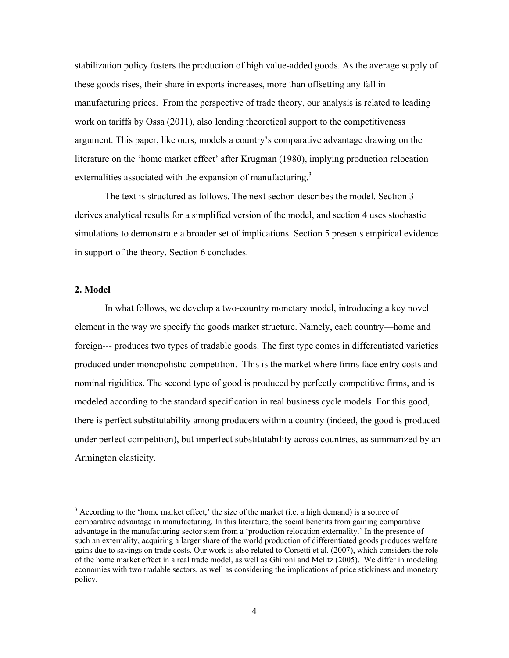stabilization policy fosters the production of high value-added goods. As the average supply of these goods rises, their share in exports increases, more than offsetting any fall in manufacturing prices. From the perspective of trade theory, our analysis is related to leading work on tariffs by Ossa (2011), also lending theoretical support to the competitiveness argument. This paper, like ours, models a country's comparative advantage drawing on the literature on the 'home market effect' after Krugman (1980), implying production relocation externalities associated with the expansion of manufacturing.<sup>3</sup>

The text is structured as follows. The next section describes the model. Section 3 derives analytical results for a simplified version of the model, and section 4 uses stochastic simulations to demonstrate a broader set of implications. Section 5 presents empirical evidence in support of the theory. Section 6 concludes.

#### **2. Model**

 $\overline{a}$ 

In what follows, we develop a two-country monetary model, introducing a key novel element in the way we specify the goods market structure. Namely, each country—home and foreign--- produces two types of tradable goods. The first type comes in differentiated varieties produced under monopolistic competition. This is the market where firms face entry costs and nominal rigidities. The second type of good is produced by perfectly competitive firms, and is modeled according to the standard specification in real business cycle models. For this good, there is perfect substitutability among producers within a country (indeed, the good is produced under perfect competition), but imperfect substitutability across countries, as summarized by an Armington elasticity.

 $3$  According to the 'home market effect,' the size of the market (i.e. a high demand) is a source of comparative advantage in manufacturing. In this literature, the social benefits from gaining comparative advantage in the manufacturing sector stem from a 'production relocation externality.' In the presence of such an externality, acquiring a larger share of the world production of differentiated goods produces welfare gains due to savings on trade costs. Our work is also related to Corsetti et al. (2007), which considers the role of the home market effect in a real trade model, as well as Ghironi and Melitz (2005). We differ in modeling economies with two tradable sectors, as well as considering the implications of price stickiness and monetary policy.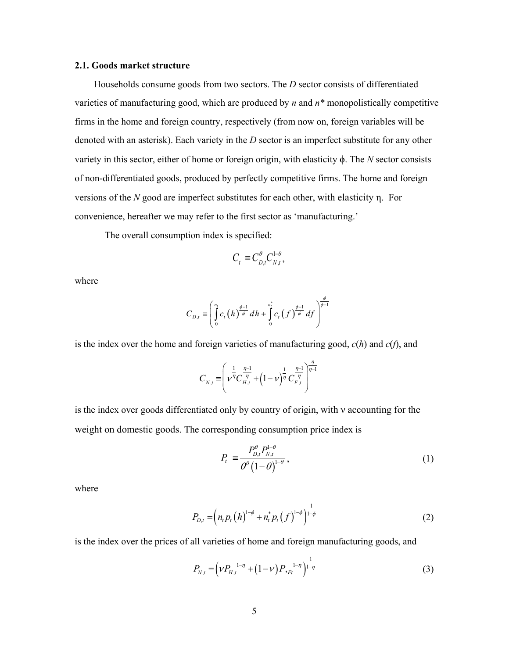#### **2.1. Goods market structure**

 Households consume goods from two sectors. The *D* sector consists of differentiated varieties of manufacturing good, which are produced by *n* and *n\** monopolistically competitive firms in the home and foreign country, respectively (from now on, foreign variables will be denoted with an asterisk). Each variety in the *D* sector is an imperfect substitute for any other variety in this sector, either of home or foreign origin, with elasticity ϕ. The *N* sector consists of non-differentiated goods, produced by perfectly competitive firms. The home and foreign versions of the *N* good are imperfect substitutes for each other, with elasticity η. For convenience, hereafter we may refer to the first sector as 'manufacturing.'

The overall consumption index is specified:

$$
C_t \equiv C_{D,t}^{\theta} C_{N,t}^{1-\theta},
$$

where

$$
C_{D,t} = \left(\int\limits_{0}^{n_t} c_t(h) \frac{\phi-1}{\phi} dh + \int\limits_{0}^{n_t} c_t(f) \frac{\phi-1}{\phi} df\right)^{\frac{\phi}{\phi-1}}
$$

is the index over the home and foreign varieties of manufacturing good, *c*(*h*) and *c*(*f*), and

$$
C_{N,t} = \left(\nu^{\frac{1}{\eta}}C_{H,t}^{\frac{\eta-1}{\eta}} + \left(1-\nu\right)^{\frac{1}{\eta}}C_{F,t}^{\frac{\eta-1}{\eta}}\right)^{\frac{\eta}{\eta-1}}
$$

is the index over goods differentiated only by country of origin, with ν accounting for the weight on domestic goods. The corresponding consumption price index is

$$
P_t = \frac{P_{D,t}^{\theta} P_{N,t}^{1-\theta}}{\theta^{\theta} (1-\theta)^{1-\theta}},
$$
\n(1)

where

$$
P_{D,t} = \left(n_t p_t \left(h\right)^{1-\phi} + n_t^* p_t \left(f\right)^{1-\phi}\right)^{\frac{1}{1-\phi}}
$$
 (2)

is the index over the prices of all varieties of home and foreign manufacturing goods, and

$$
P_{N,t} = \left(\nu P_{H,t}^{1-\eta} + (1-\nu) P_{\nu F_t}^{1-\eta}\right)^{\frac{1}{1-\eta}}
$$
(3)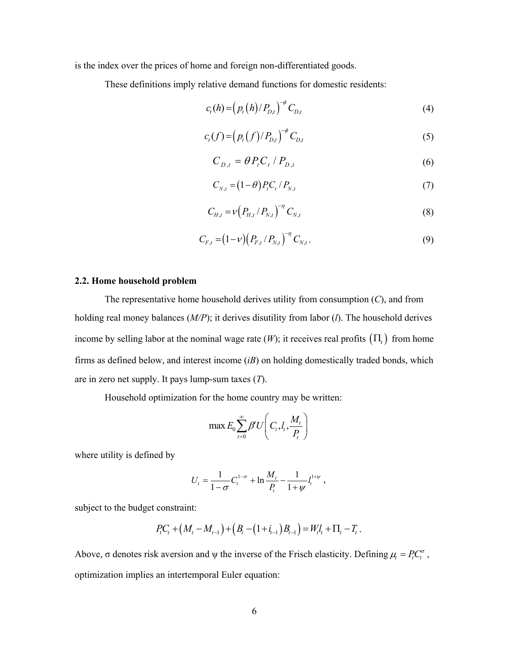is the index over the prices of home and foreign non-differentiated goods.

These definitions imply relative demand functions for domestic residents:

$$
c_{t}(h) = (p_{t}(h)/P_{D,t})^{-\phi} C_{D,t}
$$
 (4)

$$
c_t(f) = (p_t(f)/P_{D,t})^{-\phi} C_{D,t}
$$
 (5)

$$
C_{D,t} = \theta P_t C_t / P_{D,t} \tag{6}
$$

$$
C_{N,t} = (1 - \theta) P_t C_t / P_{N,t} \tag{7}
$$

$$
C_{H,t} = \nu \left( P_{H,t} / P_{N,t} \right)^{-\eta} C_{N,t}
$$
 (8)

$$
C_{F,t} = (1 - \nu) \left( P_{F,t} / P_{N,t} \right)^{-\eta} C_{N,t}.
$$
\n(9)

#### **2.2. Home household problem**

 The representative home household derives utility from consumption (*C*), and from holding real money balances (*M/P*); it derives disutility from labor (*l*). The household derives income by selling labor at the nominal wage rate  $(W)$ ; it receives real profits  $(\Pi)$  from home firms as defined below, and interest income (*iB*) on holding domestically traded bonds, which are in zero net supply. It pays lump-sum taxes (*T*).

Household optimization for the home country may be written:

$$
\max E_0 \sum_{t=0}^{\infty} \beta^t U\left(C_t, l_t, \frac{M_t}{P_t}\right)
$$

where utility is defined by

$$
U_t = \frac{1}{1-\sigma} C_t^{1-\sigma} + \ln \frac{M_t}{P_t} - \frac{1}{1+\psi} I_t^{1+\psi} ,
$$

subject to the budget constraint:

$$
P_{t}C_{t} + (M_{t} - M_{t-1}) + (B_{t} - (1 + i_{t-1})B_{t-1}) = W_{t}l_{t} + \Pi_{t} - T_{t}.
$$

Above,  $\sigma$  denotes risk aversion and  $\psi$  the inverse of the Frisch elasticity. Defining  $\mu_t = P_t C_t^{\sigma}$ , optimization implies an intertemporal Euler equation: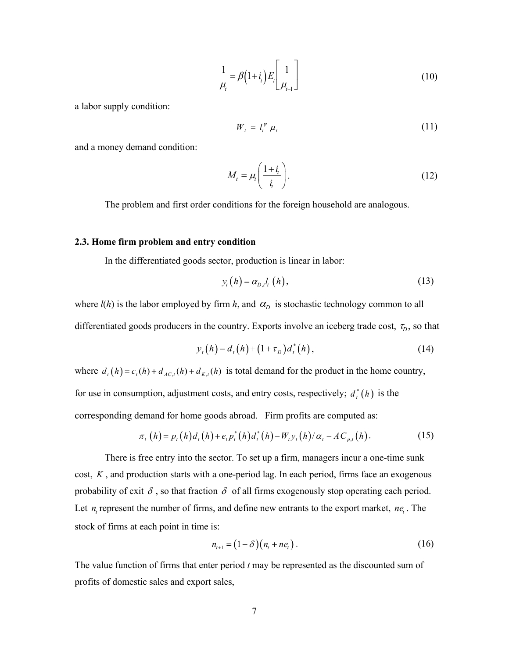$$
\frac{1}{\mu_i} = \beta \left( 1 + i_t \right) E_i \left[ \frac{1}{\mu_{i+1}} \right] \tag{10}
$$

a labor supply condition:

$$
W_t = l_t^{\psi} \mu_t \tag{11}
$$

and a money demand condition:

$$
M_t = \mu_t \left( \frac{1 + i_t}{i_t} \right). \tag{12}
$$

The problem and first order conditions for the foreign household are analogous.

#### **2.3. Home firm problem and entry condition**

In the differentiated goods sector, production is linear in labor:

$$
y_t(h) = \alpha_{D,t} l_t(h), \qquad (13)
$$

where  $l(h)$  is the labor employed by firm *h*, and  $\alpha_D$  is stochastic technology common to all differentiated goods producers in the country. Exports involve an iceberg trade cost,  $\tau_D$ , so that

$$
y_t(h) = d_t(h) + (1 + \tau_D)d_t^*(h),
$$
\n(14)

where  $d_t(h) = c_t(h) + d_{A C, t}(h) + d_{K, t}(h)$  is total demand for the product in the home country, for use in consumption, adjustment costs, and entry costs, respectively;  $d_t^*(h)$  is the corresponding demand for home goods abroad. Firm profits are computed as:

$$
\pi_{t}(h) = p_{t}(h)d_{t}(h) + e_{t}p_{t}^{*}(h)d_{t}^{*}(h) - W_{t}y_{t}(h)/\alpha_{t} - AC_{p,t}(h).
$$
 (15)

There is free entry into the sector. To set up a firm, managers incur a one-time sunk cost, *K* , and production starts with a one-period lag. In each period, firms face an exogenous probability of exit  $\delta$ , so that fraction  $\delta$  of all firms exogenously stop operating each period. Let  $n_i$  represent the number of firms, and define new entrants to the export market,  $n e_i$ . The stock of firms at each point in time is:

$$
n_{t+1} = (1 - \delta)(n_t + ne_t).
$$
 (16)

The value function of firms that enter period *t* may be represented as the discounted sum of profits of domestic sales and export sales,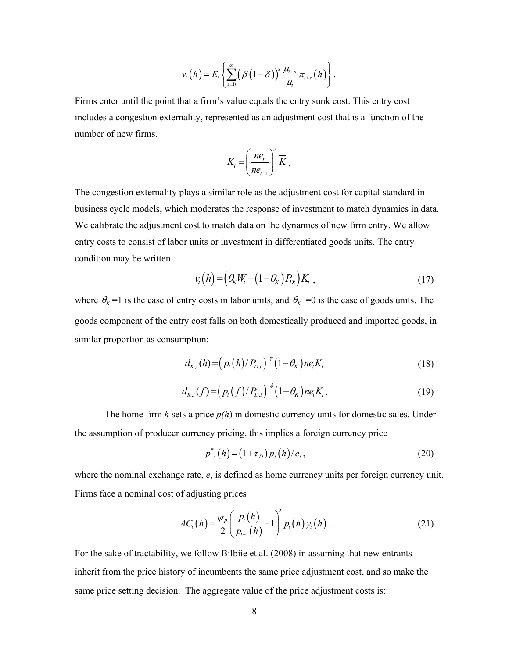$$
v_t(h) = E_t \left\{ \sum_{s=0}^{\infty} (\beta(1-\delta))^s \frac{\mu_{t+s}}{\mu_t} \pi_{t+s}(h) \right\}.
$$

Firms enter until the point that a firm's value equals the entry sunk cost. This entry cost includes a congestion externality, represented as an adjustment cost that is a function of the number of new firms.

$$
K_t = \left(\frac{ne_t}{ne_{t-1}}\right)^{\lambda} \overline{K}.
$$

The congestion externality plays a similar role as the adjustment cost for capital standard in business cycle models, which moderates the response of investment to match dynamics in data. We calibrate the adjustment cost to match data on the dynamics of new firm entry. We allow entry costs to consist of labor units or investment in differentiated goods units. The entry condition may be written

$$
v_t(h) = \left(\theta_K W_t + (1 - \theta_K) P_{Dt}\right) K_t , \qquad (17)
$$

where  $\theta_K = 1$  is the case of entry costs in labor units, and  $\theta_K = 0$  is the case of goods units. The goods component of the entry cost falls on both domestically produced and imported goods, in similar proportion as consumption:

$$
d_{K,t}(h) = (p_t(h)/P_{D,t})^{-\phi} (1 - \theta_K) n e_t K_t
$$
 (18)

$$
d_{K,t}(f) = (p_t(f)/P_{D,t})^{-\phi} (1-\theta_K) n e_t K_t.
$$
 (19)

The home firm *h* sets a price *p(h*) in domestic currency units for domestic sales. Under the assumption of producer currency pricing, this implies a foreign currency price

$$
p^*_{t}(h) = (1 + \tau_D) p_t(h) / e_t, \qquad (20)
$$

where the nominal exchange rate, *e*, is defined as home currency units per foreign currency unit. Firms face a nominal cost of adjusting prices

$$
AC_{i}(h) = \frac{\psi_{P}}{2} \left( \frac{p_{i}(h)}{p_{i-1}(h)} - 1 \right)^{2} p_{i}(h) y_{i}(h).
$$
 (21)

For the sake of tractability, we follow Bilbiie et al. (2008) in assuming that new entrants inherit from the price history of incumbents the same price adjustment cost, and so make the same price setting decision. The aggregate value of the price adjustment costs is: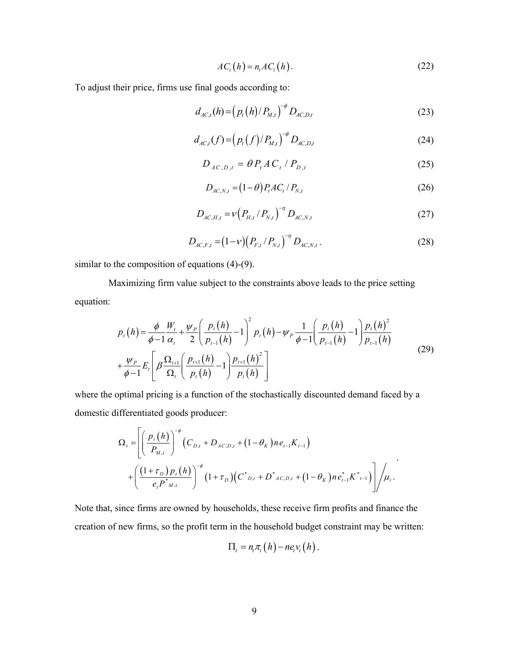$$
AC_i(h) = n_i AC_i(h). \tag{22}
$$

To adjust their price, firms use final goods according to:

$$
d_{AC,t}(h) = (p_t(h)/P_{M,t})^{-\phi} D_{AC,D,t}
$$
 (23)

$$
d_{AC,t}(f) = (p_t(f)/P_{M,t})^{-\phi} D_{AC,D,t}
$$
 (24)

$$
D_{AC,D,t} = \theta P_t A C_t / P_{D,t}
$$
 (25)

$$
D_{AC,N,t} = (1 - \theta) P_t A C_t / P_{N,t}
$$
\n(26)

$$
D_{AC,H,t} = v \left( P_{H,t} / P_{N,t} \right)^{-\eta} D_{AC,N,t}
$$
 (27)

$$
D_{AC,F,t} = (1 - v) \left( P_{F,t} / P_{N,t} \right)^{-\eta} D_{AC,N,t} . \tag{28}
$$

similar to the composition of equations (4)-(9).

 Maximizing firm value subject to the constraints above leads to the price setting equation:

$$
p_{t}(h) = \frac{\phi}{\phi - 1} \frac{W_{t}}{\alpha_{t}} + \frac{\psi_{P}}{2} \left( \frac{p_{t}(h)}{p_{t-1}(h)} - 1 \right)^{2} p_{t}(h) - \psi_{P} \frac{1}{\phi - 1} \left( \frac{p_{t}(h)}{p_{t-1}(h)} - 1 \right) \frac{p_{t}(h)^{2}}{p_{t-1}(h)}
$$
  
+ 
$$
\frac{\psi_{P}}{\phi - 1} E_{t} \left[ \beta \frac{\Omega_{t+1}}{\Omega_{t}} \left( \frac{p_{t+1}(h)}{p_{t}(h)} - 1 \right) \frac{p_{t+1}(h)^{2}}{p_{t}(h)} \right]
$$
(29)

where the optimal pricing is a function of the stochastically discounted demand faced by a domestic differentiated goods producer:

$$
\Omega_{t} = \left[ \left( \frac{p_{t}(h)}{P_{M,t}} \right)^{-\phi} \left( C_{D,t} + D_{AC,D,t} + (1 - \theta_{K}) n e_{t-1} K_{t-1} \right) \right. \\ \left. + \left( \frac{(1 + \tau_{D}) p_{t}(h)}{e_{t} P^{*}_{M,t}} \right)^{-\phi} \left( 1 + \tau_{D} \right) \left( C^{*}_{D,t} + D^{*}_{AC,D,t} + (1 - \theta_{K}) n e_{t-1}^{*} K^{*}_{t-1} \right) \right] / \mu_{t}.
$$

Note that, since firms are owned by households, these receive firm profits and finance the creation of new firms, so the profit term in the household budget constraint may be written:

$$
\Pi_t = n_t \pi_t(h) - n e_t v_t(h).
$$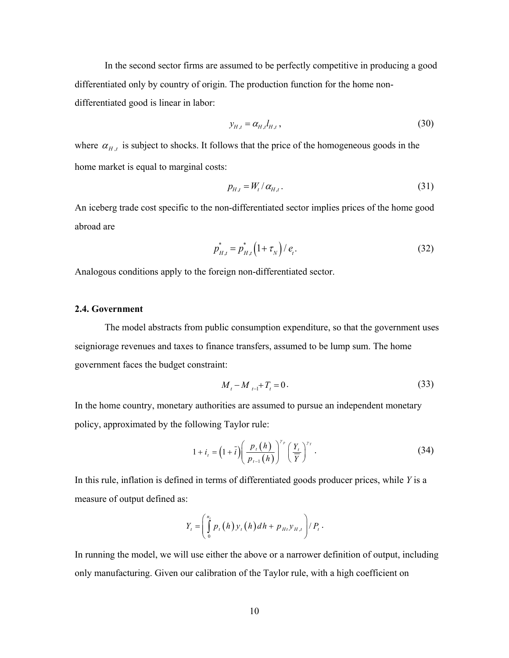In the second sector firms are assumed to be perfectly competitive in producing a good differentiated only by country of origin. The production function for the home nondifferentiated good is linear in labor:

$$
y_{H,t} = \alpha_{H,t} l_{H,t},\tag{30}
$$

where  $\alpha_{H,t}$  is subject to shocks. It follows that the price of the homogeneous goods in the home market is equal to marginal costs:

$$
p_{H,t} = W_t / \alpha_{H,t}.
$$
\n<sup>(31)</sup>

An iceberg trade cost specific to the non-differentiated sector implies prices of the home good abroad are

$$
p_{H,t}^* = p_{H,t}^* \left( 1 + \tau_N \right) / e_t.
$$
 (32)

Analogous conditions apply to the foreign non-differentiated sector.

#### **2.4. Government**

 The model abstracts from public consumption expenditure, so that the government uses seigniorage revenues and taxes to finance transfers, assumed to be lump sum. The home government faces the budget constraint:

$$
M_t - M_{t-1} + T_t = 0.
$$
\n(33)

In the home country, monetary authorities are assumed to pursue an independent monetary policy, approximated by the following Taylor rule:

$$
1 + i_{t} = \left(1 + \overline{i}\right) \left(\frac{p_{t}\left(h\right)}{p_{t-1}\left(h\right)}\right)^{\gamma_{p}} \left(\frac{Y_{t}}{\overline{Y}}\right)^{\gamma_{Y}}.
$$
\n(34)

In this rule, inflation is defined in terms of differentiated goods producer prices, while *Y* is a measure of output defined as:

$$
Y_t = \left(\int\limits_0^{n_t} p_t(h) y_t(h) dh + p_{Ht} y_{H,t}\right) / P_t.
$$

In running the model, we will use either the above or a narrower definition of output, including only manufacturing. Given our calibration of the Taylor rule, with a high coefficient on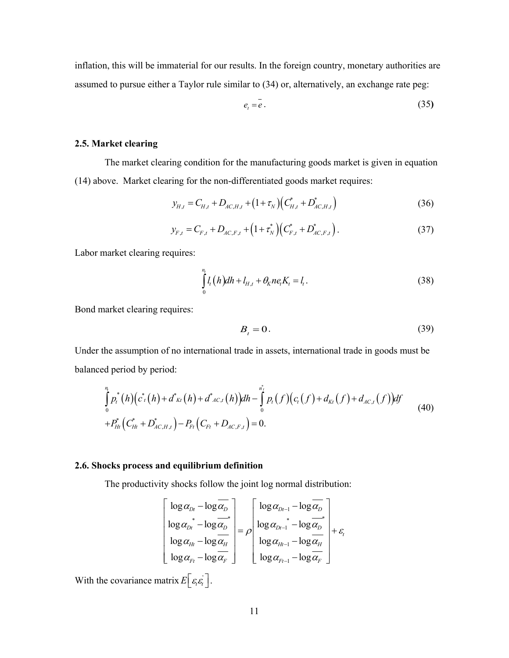inflation, this will be immaterial for our results. In the foreign country, monetary authorities are assumed to pursue either a Taylor rule similar to (34) or, alternatively, an exchange rate peg:

$$
e_t = e. \tag{35}
$$

#### **2.5. Market clearing**

 The market clearing condition for the manufacturing goods market is given in equation (14) above. Market clearing for the non-differentiated goods market requires:

$$
y_{H,t} = C_{H,t} + D_{AC,H,t} + (1 + \tau_N) (C_{H,t}^* + D_{AC,H,t}^*)
$$
\n(36)

$$
y_{F,t} = C_{F,t} + D_{AC,F,t} + (1 + \tau_N^*) (C_{F,t}^* + D_{AC,F,t}^*).
$$
 (37)

Labor market clearing requires:

$$
\int_{0}^{n_{t}} l_{t}(h)dh + l_{H,t} + \theta_{K}ne_{t}K_{t} = l_{t}.
$$
\n(38)

Bond market clearing requires:

$$
B_t = 0.\t\t(39)
$$

Under the assumption of no international trade in assets, international trade in goods must be balanced period by period:

$$
\int_{0}^{n_{i}} p_{i}^{*}(h) (c_{i}^{*}(h) + d_{\text{KL}}^{*}(h) + d_{\text{AL}}^{*}(h)) dh - \int_{0}^{n_{i}^{*}} p_{i} (f) (c_{i} (f) + d_{\text{KL}}(f) + d_{\text{AL}}(f)) df
$$
\n
$$
+ P_{Ht}^{*} (C_{Ht}^{*} + D_{\text{AL},H,t}^{*}) - P_{Ft} (C_{Ft} + D_{\text{AL},F,t}) = 0.
$$
\n(40)

#### **2.6. Shocks process and equilibrium definition**

The productivity shocks follow the joint log normal distribution:

$$
\begin{bmatrix}\n\log \alpha_{Dt} - \log \overline{\alpha_{D}} \\
\log \alpha_{Dt}^* - \log \overline{\alpha_{D}}^* \\
\log \alpha_{Ht} - \log \overline{\alpha_{H}}^* \\
\log \alpha_{Ft} - \log \overline{\alpha_{F}}^* \n\end{bmatrix} = \rho \begin{bmatrix}\n\log \alpha_{Dt-1} - \log \overline{\alpha_{D}} \\
\log \alpha_{Dt-1}^* - \log \overline{\alpha_{D}}^* \\
\log \alpha_{Ht-1} - \log \overline{\alpha_{H}}^* \\
\log \alpha_{Ft-1} - \log \overline{\alpha_{F}}^* \n\end{bmatrix} + \varepsilon_{t}
$$

With the covariance matrix  $E\left[\varepsilon_i \varepsilon_i\right]$ .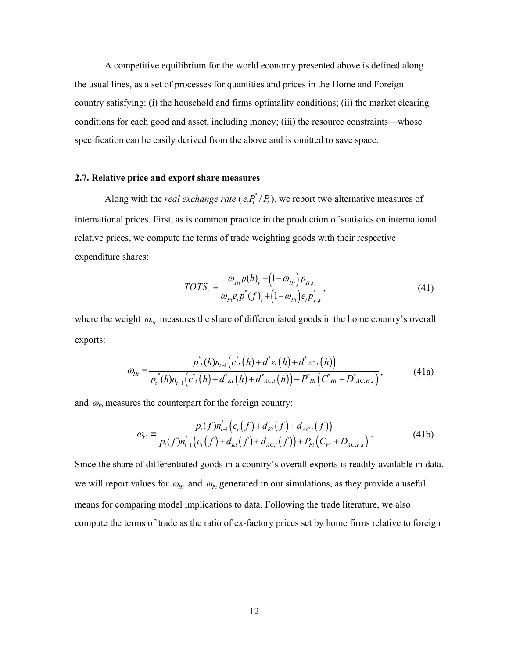A competitive equilibrium for the world economy presented above is defined along the usual lines, as a set of processes for quantities and prices in the Home and Foreign country satisfying: (i) the household and firms optimality conditions; (ii) the market clearing conditions for each good and asset, including money; (iii) the resource constraints—whose specification can be easily derived from the above and is omitted to save space.

#### **2.7. Relative price and export share measures**

Along with the *real exchange rate* ( $e_i P_t^* / P_t$ ), we report two alternative measures of international prices. First, as is common practice in the production of statistics on international relative prices, we compute the terms of trade weighting goods with their respective expenditure shares:

$$
TOTS_t = \frac{\omega_{Ht}p(h)_t + (1 - \omega_{Ht})p_{H,t}}{\omega_{Ft}e_t p^*(f)_t + (1 - \omega_{Ft})e_t p_{F,t}^*},
$$
\n(41)

where the weight  $\omega_{Ht}$  measures the share of differentiated goods in the home country's overall exports:

$$
\omega_{Ht} = \frac{p^*_{t}(h)n_{t-1}(c^*(h) + d^*_{Kt}(h) + d^*_{AC,t}(h))}{p^*_{t}(h)n_{t-1}(c^*(h) + d^*_{Kt}(h) + d^*_{AC,t}(h)) + P^*_{Ht}(C^*_{Ht} + D^*_{AC,H,t})},
$$
(41a)

and  $\omega_{Ft}$  measures the counterpart for the foreign country:

$$
\omega_{F_t} = \frac{p_t(f)n_{t-1}^*(c_t(f) + d_{Kt}(f))}{p_t(f)n_{t-1}^*(c_t(f) + d_{Kt}(f) + d_{AC,t}(f))) + P_{Ft}(C_{Ft} + D_{AC,F,t})}.
$$
(41b)

Since the share of differentiated goods in a country's overall exports is readily available in data, we will report values for  $\omega_{Ht}$  and  $\omega_{Ft}$  generated in our simulations, as they provide a useful means for comparing model implications to data. Following the trade literature, we also compute the terms of trade as the ratio of ex-factory prices set by home firms relative to foreign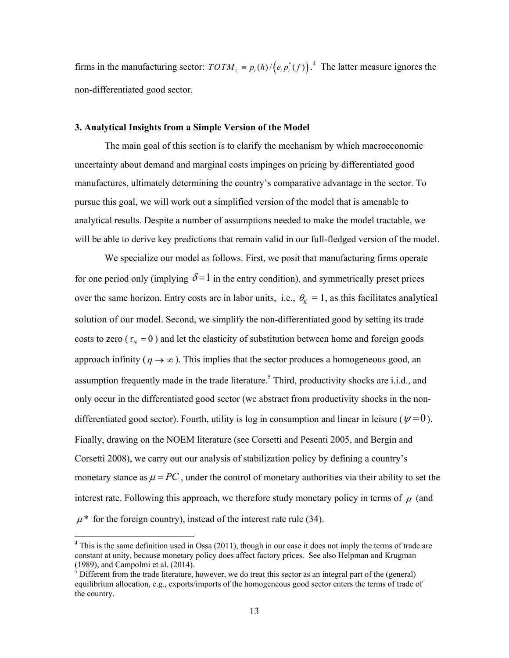firms in the manufacturing sector:  $TOTM_t \equiv p_t(h)/(e_t p_t^*(f))^2$ .<sup>4</sup> The latter measure ignores the non-differentiated good sector.

#### **3. Analytical Insights from a Simple Version of the Model**

The main goal of this section is to clarify the mechanism by which macroeconomic uncertainty about demand and marginal costs impinges on pricing by differentiated good manufactures, ultimately determining the country's comparative advantage in the sector. To pursue this goal, we will work out a simplified version of the model that is amenable to analytical results. Despite a number of assumptions needed to make the model tractable, we will be able to derive key predictions that remain valid in our full-fledged version of the model.

 We specialize our model as follows. First, we posit that manufacturing firms operate for one period only (implying  $\delta = 1$  in the entry condition), and symmetrically preset prices over the same horizon. Entry costs are in labor units, i.e.,  $\theta_K = 1$ , as this facilitates analytical solution of our model. Second, we simplify the non-differentiated good by setting its trade costs to zero ( $\tau_N = 0$ ) and let the elasticity of substitution between home and foreign goods approach infinity ( $\eta \rightarrow \infty$ ). This implies that the sector produces a homogeneous good, an assumption frequently made in the trade literature.<sup>5</sup> Third, productivity shocks are i.i.d., and only occur in the differentiated good sector (we abstract from productivity shocks in the nondifferentiated good sector). Fourth, utility is log in consumption and linear in leisure ( $\psi$ =0). Finally, drawing on the NOEM literature (see Corsetti and Pesenti 2005, and Bergin and Corsetti 2008), we carry out our analysis of stabilization policy by defining a country's monetary stance as  $\mu = PC$ , under the control of monetary authorities via their ability to set the interest rate. Following this approach, we therefore study monetary policy in terms of  $\mu$  (and  $\mu^*$  for the foreign country), instead of the interest rate rule (34).

 $\overline{a}$ 

 $4$  This is the same definition used in Ossa (2011), though in our case it does not imply the terms of trade are constant at unity, because monetary policy does affect factory prices. See also Helpman and Krugman (1989), and Campolmi et al. (2014).<br><sup>5</sup> Different from the trade literature, however, we do treat this sector as an integral part of the (general)

equilibrium allocation, e.g., exports/imports of the homogeneous good sector enters the terms of trade of the country.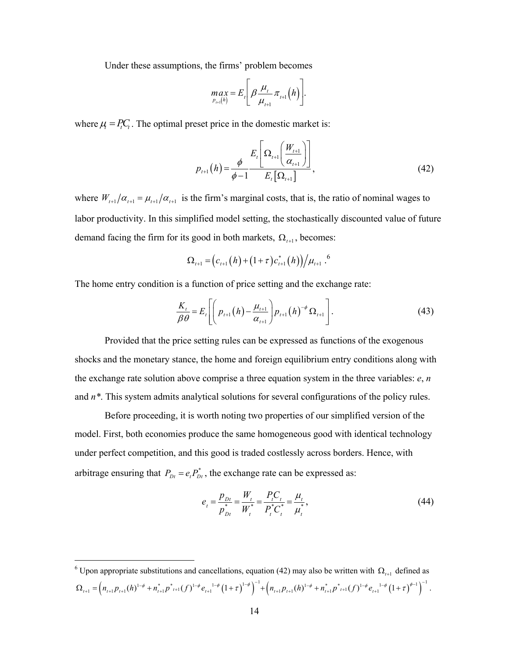Under these assumptions, the firms' problem becomes

$$
\max_{p_{t+1}(h)} = E_t \left[ \beta \frac{\mu_t}{\mu_{t+1}} \pi_{t+1}(h) \right].
$$

where  $\mu_i = P_i C_i$ . The optimal preset price in the domestic market is:

$$
p_{t+1}(h) = \frac{\phi}{\phi - 1} \frac{E_t \left[ \Omega_{t+1} \left( \frac{W_{t+1}}{\alpha_{t+1}} \right) \right]}{E_t \left[ \Omega_{t+1} \right]},
$$
\n(42)

where  $W_{t+1}/\alpha_{t+1} = \mu_{t+1}/\alpha_{t+1}$  is the firm's marginal costs, that is, the ratio of nominal wages to labor productivity. In this simplified model setting, the stochastically discounted value of future demand facing the firm for its good in both markets,  $\Omega_{t+1}$ , becomes:

$$
\Omega_{t+1} = (c_{t+1}(h) + (1+\tau)c_{t+1}^*(h))/\mu_{t+1}^{\quad 6}
$$

The home entry condition is a function of price setting and the exchange rate:

$$
\frac{K_{t}}{\beta \theta} = E_{t} \left[ \left( p_{t+1} (h) - \frac{\mu_{t+1}}{\alpha_{t+1}} \right) p_{t+1} (h)^{-\phi} \Omega_{t+1} \right].
$$
\n(43)

 Provided that the price setting rules can be expressed as functions of the exogenous shocks and the monetary stance, the home and foreign equilibrium entry conditions along with the exchange rate solution above comprise a three equation system in the three variables: *e*, *n* and *n\**. This system admits analytical solutions for several configurations of the policy rules.

 Before proceeding, it is worth noting two properties of our simplified version of the model. First, both economies produce the same homogeneous good with identical technology under perfect competition, and this good is traded costlessly across borders. Hence, with arbitrage ensuring that  $P_{Dt} = e_t P_{Dt}^*$ , the exchange rate can be expressed as:

$$
e_{t} = \frac{p_{Dt}}{p_{Dt}^{*}} = \frac{W_{t}}{W_{t}^{*}} = \frac{P_{t}C_{t}}{P_{t}^{*}C_{t}^{*}} = \frac{\mu_{t}}{\mu_{t}^{*}},
$$
\n(44)

<sup>&</sup>lt;sup>6</sup> Upon appropriate substitutions and cancellations, equation (42) may also be written with  $\Omega_{t+1}$  defined as  $\Omega_{t+1} = \left( n_{t+1} p_{t+1}(h)^{1-\phi} + n_{t+1}^* p_{t+1}^* (f) ^{1-\phi} e_{t+1}^{-1-\phi} \left( 1 + \tau \right)^{1-\phi} \right)^{-1} + \left( n_{t+1} p_{t+1}(h)^{1-\phi} + n_{t+1}^* p_{t+1}^* (f) ^{1-\phi} e_{t+1}^{-1-\phi} \left( 1 + \tau \right)^{\phi-1} \right)^{-1}.$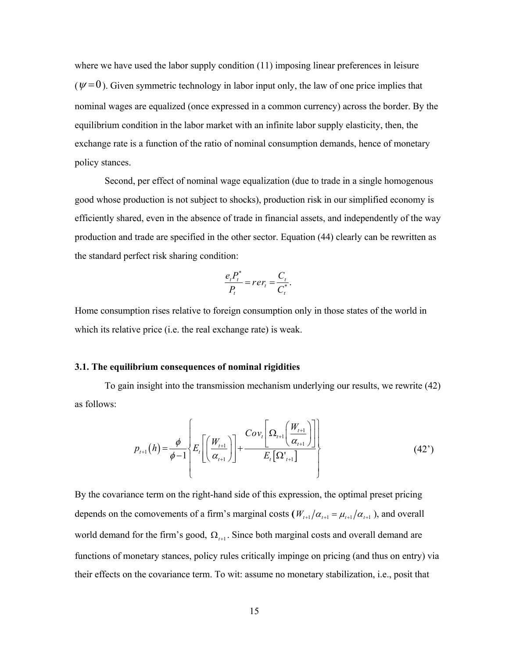where we have used the labor supply condition (11) imposing linear preferences in leisure  $(\psi = 0)$ . Given symmetric technology in labor input only, the law of one price implies that nominal wages are equalized (once expressed in a common currency) across the border. By the equilibrium condition in the labor market with an infinite labor supply elasticity, then, the exchange rate is a function of the ratio of nominal consumption demands, hence of monetary policy stances.

 Second, per effect of nominal wage equalization (due to trade in a single homogenous good whose production is not subject to shocks), production risk in our simplified economy is efficiently shared, even in the absence of trade in financial assets, and independently of the way production and trade are specified in the other sector. Equation (44) clearly can be rewritten as the standard perfect risk sharing condition:

$$
\frac{e_t P_t^*}{P_t} = r e r_t = \frac{C_t}{C_t^*}.
$$

Home consumption rises relative to foreign consumption only in those states of the world in which its relative price (i.e. the real exchange rate) is weak.

#### **3.1. The equilibrium consequences of nominal rigidities**

 To gain insight into the transmission mechanism underlying our results, we rewrite (42) as follows:

$$
p_{t+1}(h) = \frac{\phi}{\phi - 1} \left\{ E_t \left[ \left( \frac{W_{t+1}}{\alpha_{t+1}} \right) \right] + \frac{Cov_t \left[ \Omega_{t+1} \left( \frac{W_{t+1}}{\alpha_{t+1}} \right) \right]}{E_t \left[ \Omega_{t+1} \right]} \right\}
$$
(42')

By the covariance term on the right-hand side of this expression, the optimal preset pricing depends on the comovements of a firm's marginal costs  $(W_{t+1}/\alpha_{t+1} = \mu_{t+1}/\alpha_{t+1})$ , and overall world demand for the firm's good,  $\Omega$ <sub>t+1</sub>. Since both marginal costs and overall demand are functions of monetary stances, policy rules critically impinge on pricing (and thus on entry) via their effects on the covariance term. To wit: assume no monetary stabilization, i.e., posit that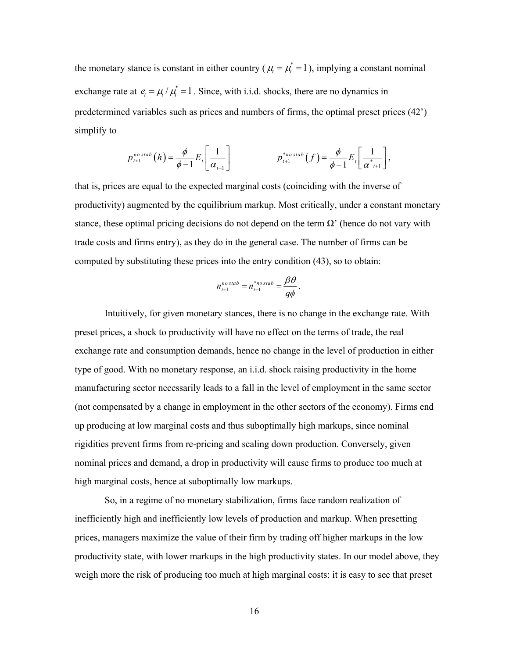the monetary stance is constant in either country ( $\mu_i = \mu_i^* = 1$ ), implying a constant nominal exchange rate at  $e_t = \mu / \mu_t^* = 1$ . Since, with i.i.d. shocks, there are no dynamics in predetermined variables such as prices and numbers of firms, the optimal preset prices (42') simplify to

$$
p_{t+1}^{nostab}(h) = \frac{\phi}{\phi-1} E_t \left[ \frac{1}{\alpha_{t+1}} \right] \qquad \qquad p_{t+1}^{*nostab}(f) = \frac{\phi}{\phi-1} E_t \left[ \frac{1}{\alpha_{t+1}^{*}} \right],
$$

that is, prices are equal to the expected marginal costs (coinciding with the inverse of productivity) augmented by the equilibrium markup. Most critically, under a constant monetary stance, these optimal pricing decisions do not depend on the term  $\Omega'$  (hence do not vary with trade costs and firms entry), as they do in the general case. The number of firms can be computed by substituting these prices into the entry condition (43), so to obtain:

$$
n_{t+1}^{nostab} = n_{t+1}^{*nostab} = \frac{\beta \theta}{q\phi}.
$$

 Intuitively, for given monetary stances, there is no change in the exchange rate. With preset prices, a shock to productivity will have no effect on the terms of trade, the real exchange rate and consumption demands, hence no change in the level of production in either type of good. With no monetary response, an i.i.d. shock raising productivity in the home manufacturing sector necessarily leads to a fall in the level of employment in the same sector (not compensated by a change in employment in the other sectors of the economy). Firms end up producing at low marginal costs and thus suboptimally high markups, since nominal rigidities prevent firms from re-pricing and scaling down production. Conversely, given nominal prices and demand, a drop in productivity will cause firms to produce too much at high marginal costs, hence at suboptimally low markups.

So, in a regime of no monetary stabilization, firms face random realization of inefficiently high and inefficiently low levels of production and markup. When presetting prices, managers maximize the value of their firm by trading off higher markups in the low productivity state, with lower markups in the high productivity states. In our model above, they weigh more the risk of producing too much at high marginal costs: it is easy to see that preset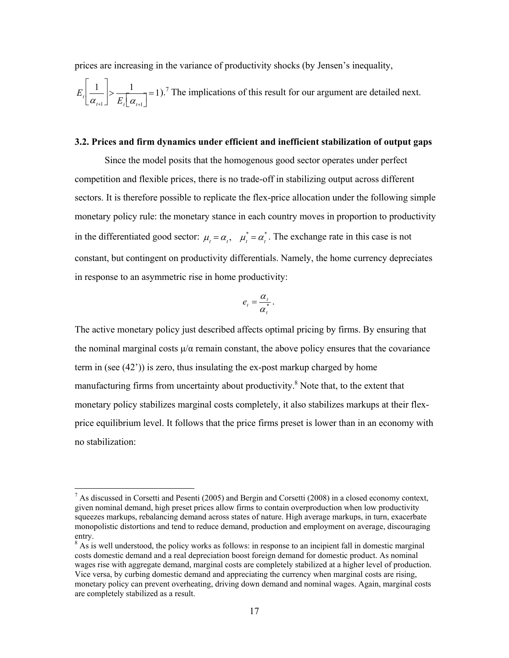prices are increasing in the variance of productivity shocks (by Jensen's inequality,

ª

 $\overline{a}$ 

$$
E_{\iota} \left[ \frac{1}{\alpha_{\iota+1}} \right] > \frac{1}{E_{\iota} \left[ \alpha_{\iota+1} \right]} = 1
$$
.<sup>7</sup> The implications of this result for our argument are detailed next.

#### **3.2. Prices and firm dynamics under efficient and inefficient stabilization of output gaps**

 Since the model posits that the homogenous good sector operates under perfect competition and flexible prices, there is no trade-off in stabilizing output across different sectors. It is therefore possible to replicate the flex-price allocation under the following simple monetary policy rule: the monetary stance in each country moves in proportion to productivity in the differentiated good sector:  $\mu_t = \alpha_t$ ,  $\mu_t^* = \alpha_t^*$ . The exchange rate in this case is not constant, but contingent on productivity differentials. Namely, the home currency depreciates in response to an asymmetric rise in home productivity:

$$
e_t = \frac{\alpha_t}{\alpha_t^*}.
$$

The active monetary policy just described affects optimal pricing by firms. By ensuring that the nominal marginal costs  $\mu/\alpha$  remain constant, the above policy ensures that the covariance term in (see (42')) is zero, thus insulating the ex-post markup charged by home manufacturing firms from uncertainty about productivity.<sup>8</sup> Note that, to the extent that monetary policy stabilizes marginal costs completely, it also stabilizes markups at their flexprice equilibrium level. It follows that the price firms preset is lower than in an economy with no stabilization:

<sup>&</sup>lt;sup>7</sup> As discussed in Corsetti and Pesenti (2005) and Bergin and Corsetti (2008) in a closed economy context, given nominal demand, high preset prices allow firms to contain overproduction when low productivity squeezes markups, rebalancing demand across states of nature. High average markups, in turn, exacerbate monopolistic distortions and tend to reduce demand, production and employment on average, discouraging entry.

<sup>&</sup>lt;sup>8</sup> As is well understood, the policy works as follows: in response to an incipient fall in domestic marginal costs domestic demand and a real depreciation boost foreign demand for domestic product. As nominal wages rise with aggregate demand, marginal costs are completely stabilized at a higher level of production. Vice versa, by curbing domestic demand and appreciating the currency when marginal costs are rising, monetary policy can prevent overheating, driving down demand and nominal wages. Again, marginal costs are completely stabilized as a result.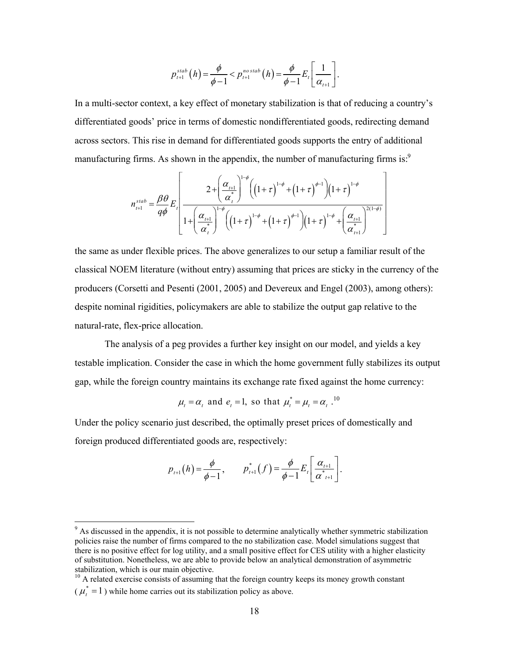$$
p_{t+1}^{stab}(h) = \frac{\phi}{\phi - 1} < p_{t+1}^{no \,stab}(h) = \frac{\phi}{\phi - 1} E_t \left[ \frac{1}{\alpha_{t+1}} \right].
$$

In a multi-sector context, a key effect of monetary stabilization is that of reducing a country's differentiated goods' price in terms of domestic nondifferentiated goods, redirecting demand across sectors. This rise in demand for differentiated goods supports the entry of additional manufacturing firms. As shown in the appendix, the number of manufacturing firms is:<sup>9</sup>

$$
n_{t+1}^{stab} = \frac{\beta \theta}{q\phi} E_t \left[ \frac{2 + \left(\frac{\alpha_{t+1}}{\alpha_t^*}\right)^{1-\phi} \left(\left(1+\tau\right)^{1-\phi} + \left(1+\tau\right)^{\phi-1}\right) \left(1+\tau\right)^{1-\phi}}{1 + \left(\frac{\alpha_{t+1}}{\alpha_t^*}\right)^{1-\phi} \left(\left(1+\tau\right)^{1-\phi} + \left(1+\tau\right)^{\phi-1}\right) \left(1+\tau\right)^{1-\phi} + \left(\frac{\alpha_{t+1}}{\alpha_{t+1}^*}\right)^{2(1-\phi)}} \right]
$$

the same as under flexible prices. The above generalizes to our setup a familiar result of the classical NOEM literature (without entry) assuming that prices are sticky in the currency of the producers (Corsetti and Pesenti (2001, 2005) and Devereux and Engel (2003), among others): despite nominal rigidities, policymakers are able to stabilize the output gap relative to the natural-rate, flex-price allocation.

The analysis of a peg provides a further key insight on our model, and yields a key testable implication. Consider the case in which the home government fully stabilizes its output gap, while the foreign country maintains its exchange rate fixed against the home currency:

$$
\mu_t = \alpha_t
$$
 and  $e_t = 1$ , so that  $\mu_t^* = \mu_t = \alpha_t$ .<sup>10</sup>

Under the policy scenario just described, the optimally preset prices of domestically and foreign produced differentiated goods are, respectively:

$$
p_{t+1}(h) = \frac{\phi}{\phi - 1}, \qquad p_{t+1}^*(f) = \frac{\phi}{\phi - 1} E_t \left[ \frac{\alpha_{t+1}}{\alpha_{t+1}^*} \right].
$$

<sup>&</sup>lt;sup>9</sup> As discussed in the appendix, it is not possible to determine analytically whether symmetric stabilization policies raise the number of firms compared to the no stabilization case. Model simulations suggest that there is no positive effect for log utility, and a small positive effect for CES utility with a higher elasticity of substitution. Nonetheless, we are able to provide below an analytical demonstration of asymmetric stabilization, which is our main objective.

<sup>&</sup>lt;sup>10</sup> A related exercise consists of assuming that the foreign country keeps its money growth constant  $(\mu_{t}^{*} = 1)$  while home carries out its stabilization policy as above.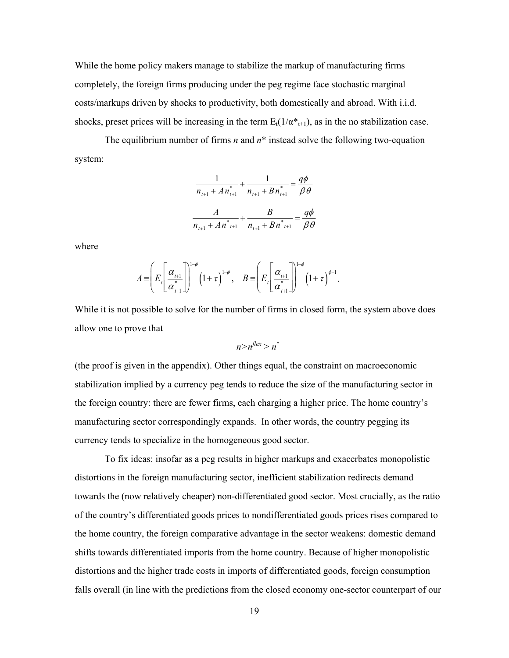While the home policy makers manage to stabilize the markup of manufacturing firms completely, the foreign firms producing under the peg regime face stochastic marginal costs/markups driven by shocks to productivity, both domestically and abroad. With i.i.d. shocks, preset prices will be increasing in the term  $E_t(1/\alpha^*_{t+1})$ , as in the no stabilization case.

The equilibrium number of firms *n* and *n*\* instead solve the following two-equation system:

$$
\frac{1}{n_{t+1} + A n_{t+1}^{*}} + \frac{1}{n_{t+1} + B n_{t+1}^{*}} = \frac{q\phi}{\beta \theta}
$$

$$
\frac{A}{n_{t+1} + A n_{t+1}^{*}} + \frac{B}{n_{t+1} + B n_{t+1}^{*}} = \frac{q\phi}{\beta \theta}
$$

where

$$
A = \left( E_r \left[ \frac{\alpha_{l+1}}{\alpha_{l+1}^*} \right] \right)^{1-\phi} \left(1+\tau\right)^{1-\phi}, \quad B = \left( E_r \left[ \frac{\alpha_{l+1}}{\alpha_{l+1}^*} \right] \right)^{1-\phi} \left(1+\tau\right)^{\phi-1}.
$$

While it is not possible to solve for the number of firms in closed form, the system above does allow one to prove that

$$
n > n^{flex} > n^*
$$

(the proof is given in the appendix). Other things equal, the constraint on macroeconomic stabilization implied by a currency peg tends to reduce the size of the manufacturing sector in the foreign country: there are fewer firms, each charging a higher price. The home country's manufacturing sector correspondingly expands. In other words, the country pegging its currency tends to specialize in the homogeneous good sector.

To fix ideas: insofar as a peg results in higher markups and exacerbates monopolistic distortions in the foreign manufacturing sector, inefficient stabilization redirects demand towards the (now relatively cheaper) non-differentiated good sector. Most crucially, as the ratio of the country's differentiated goods prices to nondifferentiated goods prices rises compared to the home country, the foreign comparative advantage in the sector weakens: domestic demand shifts towards differentiated imports from the home country. Because of higher monopolistic distortions and the higher trade costs in imports of differentiated goods, foreign consumption falls overall (in line with the predictions from the closed economy one-sector counterpart of our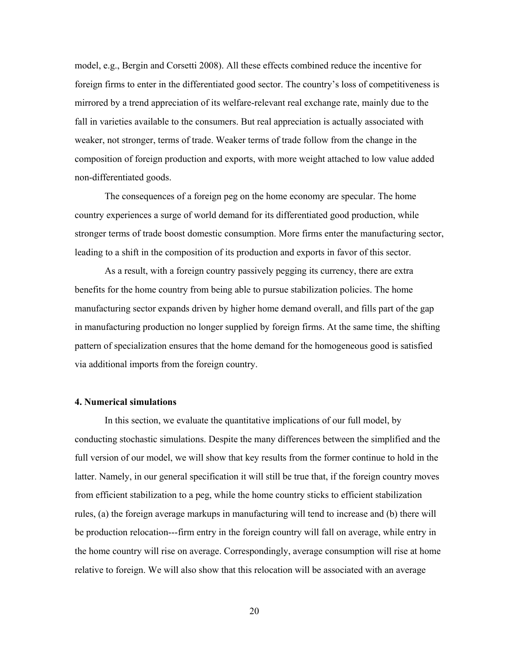model, e.g., Bergin and Corsetti 2008). All these effects combined reduce the incentive for foreign firms to enter in the differentiated good sector. The country's loss of competitiveness is mirrored by a trend appreciation of its welfare-relevant real exchange rate, mainly due to the fall in varieties available to the consumers. But real appreciation is actually associated with weaker, not stronger, terms of trade. Weaker terms of trade follow from the change in the composition of foreign production and exports, with more weight attached to low value added non-differentiated goods.

The consequences of a foreign peg on the home economy are specular. The home country experiences a surge of world demand for its differentiated good production, while stronger terms of trade boost domestic consumption. More firms enter the manufacturing sector, leading to a shift in the composition of its production and exports in favor of this sector.

As a result, with a foreign country passively pegging its currency, there are extra benefits for the home country from being able to pursue stabilization policies. The home manufacturing sector expands driven by higher home demand overall, and fills part of the gap in manufacturing production no longer supplied by foreign firms. At the same time, the shifting pattern of specialization ensures that the home demand for the homogeneous good is satisfied via additional imports from the foreign country.

#### **4. Numerical simulations**

 In this section, we evaluate the quantitative implications of our full model, by conducting stochastic simulations. Despite the many differences between the simplified and the full version of our model, we will show that key results from the former continue to hold in the latter. Namely, in our general specification it will still be true that, if the foreign country moves from efficient stabilization to a peg, while the home country sticks to efficient stabilization rules, (a) the foreign average markups in manufacturing will tend to increase and (b) there will be production relocation---firm entry in the foreign country will fall on average, while entry in the home country will rise on average. Correspondingly, average consumption will rise at home relative to foreign. We will also show that this relocation will be associated with an average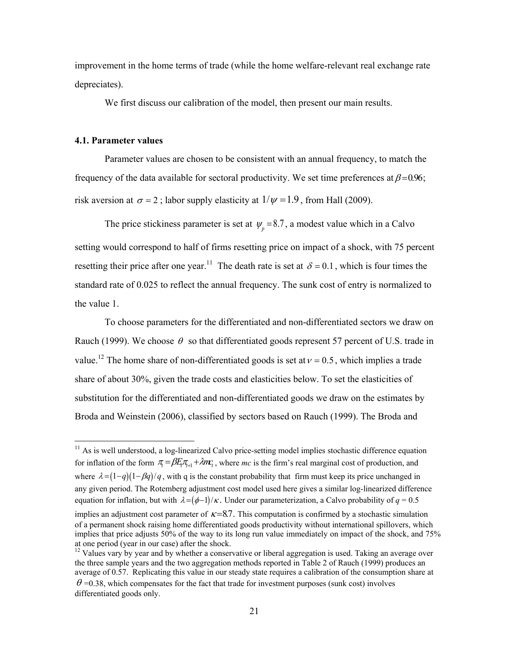improvement in the home terms of trade (while the home welfare-relevant real exchange rate depreciates).

We first discuss our calibration of the model, then present our main results.

#### **4.1. Parameter values**

 $\overline{a}$ 

Parameter values are chosen to be consistent with an annual frequency, to match the frequency of the data available for sectoral productivity. We set time preferences at  $\beta$ =0.96; risk aversion at  $\sigma = 2$ ; labor supply elasticity at  $1/\psi = 1.9$ , from Hall (2009).

The price stickiness parameter is set at  $\psi$ <sub>n</sub> = 8.7, a modest value which in a Calvo setting would correspond to half of firms resetting price on impact of a shock, with 75 percent resetting their price after one year.<sup>11</sup> The death rate is set at  $\delta = 0.1$ , which is four times the standard rate of 0.025 to reflect the annual frequency. The sunk cost of entry is normalized to the value 1.

To choose parameters for the differentiated and non-differentiated sectors we draw on Rauch (1999). We choose  $\theta$  so that differentiated goods represent 57 percent of U.S. trade in value.<sup>12</sup> The home share of non-differentiated goods is set at  $v = 0.5$ , which implies a trade share of about 30%, given the trade costs and elasticities below. To set the elasticities of substitution for the differentiated and non-differentiated goods we draw on the estimates by Broda and Weinstein (2006), classified by sectors based on Rauch (1999). The Broda and

<sup>&</sup>lt;sup>11</sup> As is well understood, a log-linearized Calvo price-setting model implies stochastic difference equation for inflation of the form  $\pi = \beta E \pi_{1} + \lambda m c$ , where *mc* is the firm's real marginal cost of production, and where  $\lambda = (1-q)(1-\beta q)/q$ , with q is the constant probability that firm must keep its price unchanged in any given period. The Rotemberg adjustment cost model used here gives a similar log-linearized difference equation for inflation, but with  $\lambda = (\phi - 1)/\kappa$ . Under our parameterization, a Calvo probability of  $q = 0.5$ 

implies an adjustment cost parameter of  $\kappa$ =8.7. This computation is confirmed by a stochastic simulation of a permanent shock raising home differentiated goods productivity without international spillovers, which implies that price adjusts 50% of the way to its long run value immediately on impact of the shock, and 75% at one period (year in our case) after the shock.

<sup>&</sup>lt;sup>12</sup> Values vary by year and by whether a conservative or liberal aggregation is used. Taking an average over the three sample years and the two aggregation methods reported in Table 2 of Rauch (1999) produces an average of 0.57. Replicating this value in our steady state requires a calibration of the consumption share at  $\theta$  =0.38, which compensates for the fact that trade for investment purposes (sunk cost) involves differentiated goods only.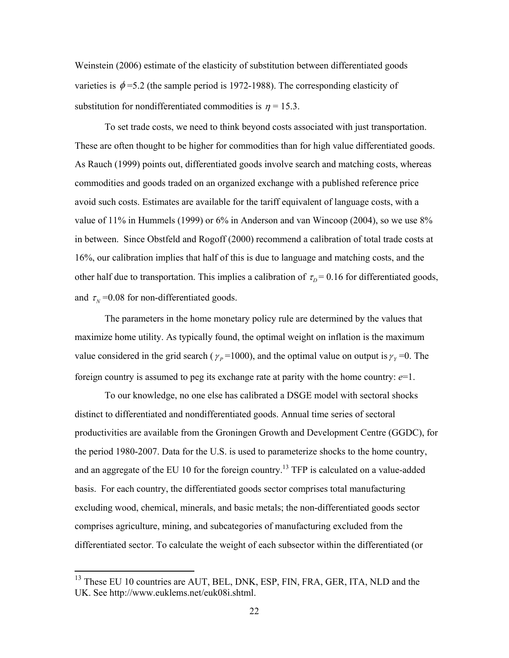Weinstein (2006) estimate of the elasticity of substitution between differentiated goods varieties is  $\phi$  =5.2 (the sample period is 1972-1988). The corresponding elasticity of substitution for nondifferentiated commodities is  $n = 15.3$ .

 To set trade costs, we need to think beyond costs associated with just transportation. These are often thought to be higher for commodities than for high value differentiated goods. As Rauch (1999) points out, differentiated goods involve search and matching costs, whereas commodities and goods traded on an organized exchange with a published reference price avoid such costs. Estimates are available for the tariff equivalent of language costs, with a value of 11% in Hummels (1999) or 6% in Anderson and van Wincoop (2004), so we use 8% in between. Since Obstfeld and Rogoff (2000) recommend a calibration of total trade costs at 16%, our calibration implies that half of this is due to language and matching costs, and the other half due to transportation. This implies a calibration of  $\tau_p = 0.16$  for differentiated goods, and  $\tau_N$  =0.08 for non-differentiated goods.

 The parameters in the home monetary policy rule are determined by the values that maximize home utility. As typically found, the optimal weight on inflation is the maximum value considered in the grid search ( $\gamma_p$ =1000), and the optimal value on output is  $\gamma_y$ =0. The foreign country is assumed to peg its exchange rate at parity with the home country: *e*=1.

 To our knowledge, no one else has calibrated a DSGE model with sectoral shocks distinct to differentiated and nondifferentiated goods. Annual time series of sectoral productivities are available from the Groningen Growth and Development Centre (GGDC), for the period 1980-2007. Data for the U.S. is used to parameterize shocks to the home country, and an aggregate of the EU 10 for the foreign country.<sup>13</sup> TFP is calculated on a value-added basis. For each country, the differentiated goods sector comprises total manufacturing excluding wood, chemical, minerals, and basic metals; the non-differentiated goods sector comprises agriculture, mining, and subcategories of manufacturing excluded from the differentiated sector. To calculate the weight of each subsector within the differentiated (or

 $\overline{a}$ 

<sup>&</sup>lt;sup>13</sup> These EU 10 countries are AUT, BEL, DNK, ESP, FIN, FRA, GER, ITA, NLD and the UK. See http://www.euklems.net/euk08i.shtml.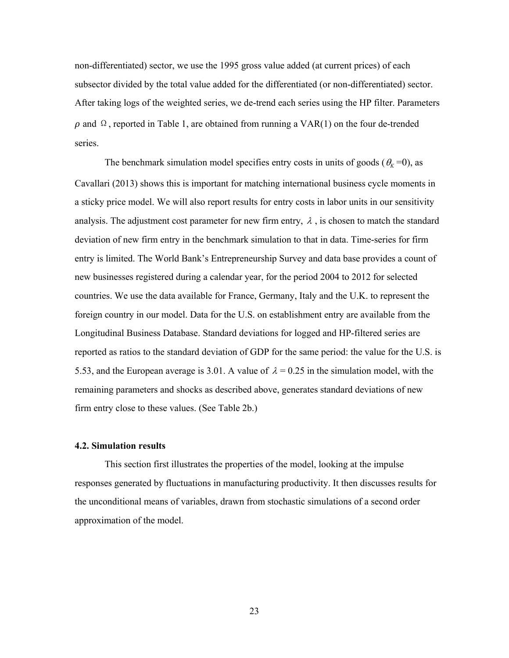non-differentiated) sector, we use the 1995 gross value added (at current prices) of each subsector divided by the total value added for the differentiated (or non-differentiated) sector. After taking logs of the weighted series, we de-trend each series using the HP filter. Parameters  $\rho$  and  $\Omega$ , reported in Table 1, are obtained from running a VAR(1) on the four de-trended series.

The benchmark simulation model specifies entry costs in units of goods ( $\theta_K$  =0), as Cavallari (2013) shows this is important for matching international business cycle moments in a sticky price model. We will also report results for entry costs in labor units in our sensitivity analysis. The adjustment cost parameter for new firm entry,  $\lambda$ , is chosen to match the standard deviation of new firm entry in the benchmark simulation to that in data. Time-series for firm entry is limited. The World Bank's Entrepreneurship Survey and data base provides a count of new businesses registered during a calendar year, for the period 2004 to 2012 for selected countries. We use the data available for France, Germany, Italy and the U.K. to represent the foreign country in our model. Data for the U.S. on establishment entry are available from the Longitudinal Business Database. Standard deviations for logged and HP-filtered series are reported as ratios to the standard deviation of GDP for the same period: the value for the U.S. is 5.53, and the European average is 3.01. A value of  $\lambda = 0.25$  in the simulation model, with the remaining parameters and shocks as described above, generates standard deviations of new firm entry close to these values. (See Table 2b.)

#### **4.2. Simulation results**

 This section first illustrates the properties of the model, looking at the impulse responses generated by fluctuations in manufacturing productivity. It then discusses results for the unconditional means of variables, drawn from stochastic simulations of a second order approximation of the model.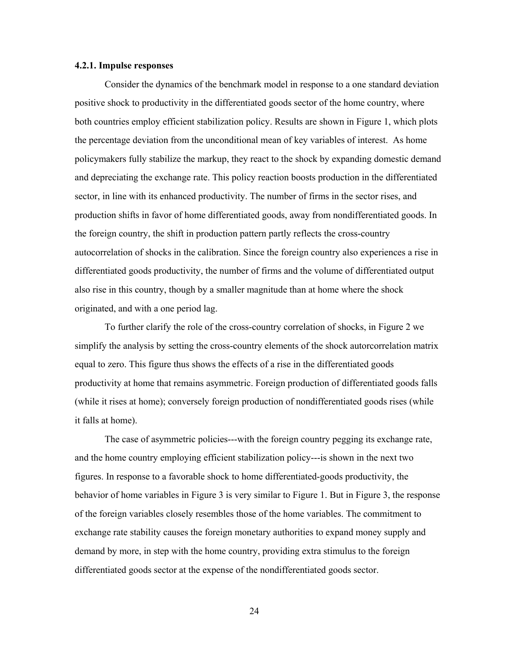#### **4.2.1. Impulse responses**

Consider the dynamics of the benchmark model in response to a one standard deviation positive shock to productivity in the differentiated goods sector of the home country, where both countries employ efficient stabilization policy. Results are shown in Figure 1, which plots the percentage deviation from the unconditional mean of key variables of interest. As home policymakers fully stabilize the markup, they react to the shock by expanding domestic demand and depreciating the exchange rate. This policy reaction boosts production in the differentiated sector, in line with its enhanced productivity. The number of firms in the sector rises, and production shifts in favor of home differentiated goods, away from nondifferentiated goods. In the foreign country, the shift in production pattern partly reflects the cross-country autocorrelation of shocks in the calibration. Since the foreign country also experiences a rise in differentiated goods productivity, the number of firms and the volume of differentiated output also rise in this country, though by a smaller magnitude than at home where the shock originated, and with a one period lag.

To further clarify the role of the cross-country correlation of shocks, in Figure 2 we simplify the analysis by setting the cross-country elements of the shock autorcorrelation matrix equal to zero. This figure thus shows the effects of a rise in the differentiated goods productivity at home that remains asymmetric. Foreign production of differentiated goods falls (while it rises at home); conversely foreign production of nondifferentiated goods rises (while it falls at home).

The case of asymmetric policies---with the foreign country pegging its exchange rate, and the home country employing efficient stabilization policy---is shown in the next two figures. In response to a favorable shock to home differentiated-goods productivity, the behavior of home variables in Figure 3 is very similar to Figure 1. But in Figure 3, the response of the foreign variables closely resembles those of the home variables. The commitment to exchange rate stability causes the foreign monetary authorities to expand money supply and demand by more, in step with the home country, providing extra stimulus to the foreign differentiated goods sector at the expense of the nondifferentiated goods sector.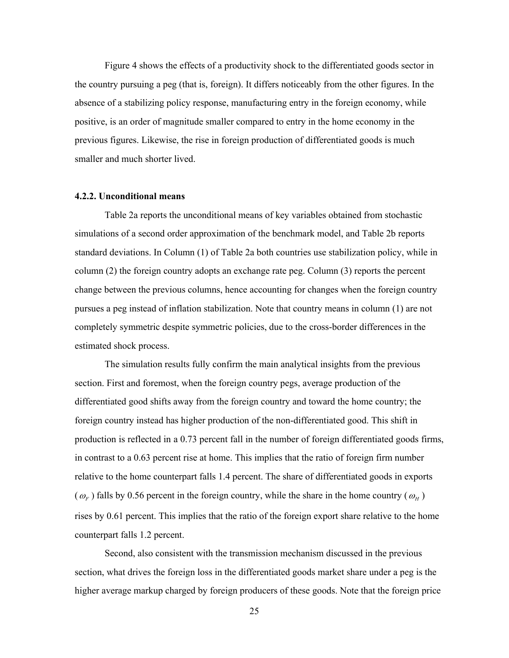Figure 4 shows the effects of a productivity shock to the differentiated goods sector in the country pursuing a peg (that is, foreign). It differs noticeably from the other figures. In the absence of a stabilizing policy response, manufacturing entry in the foreign economy, while positive, is an order of magnitude smaller compared to entry in the home economy in the previous figures. Likewise, the rise in foreign production of differentiated goods is much smaller and much shorter lived.

#### **4.2.2. Unconditional means**

 Table 2a reports the unconditional means of key variables obtained from stochastic simulations of a second order approximation of the benchmark model, and Table 2b reports standard deviations. In Column (1) of Table 2a both countries use stabilization policy, while in column (2) the foreign country adopts an exchange rate peg. Column (3) reports the percent change between the previous columns, hence accounting for changes when the foreign country pursues a peg instead of inflation stabilization. Note that country means in column (1) are not completely symmetric despite symmetric policies, due to the cross-border differences in the estimated shock process.

The simulation results fully confirm the main analytical insights from the previous section. First and foremost, when the foreign country pegs, average production of the differentiated good shifts away from the foreign country and toward the home country; the foreign country instead has higher production of the non-differentiated good. This shift in production is reflected in a 0.73 percent fall in the number of foreign differentiated goods firms, in contrast to a 0.63 percent rise at home. This implies that the ratio of foreign firm number relative to the home counterpart falls 1.4 percent. The share of differentiated goods in exports  $(\omega_F)$  falls by 0.56 percent in the foreign country, while the share in the home country ( $\omega_H$ ) rises by 0.61 percent. This implies that the ratio of the foreign export share relative to the home counterpart falls 1.2 percent.

Second, also consistent with the transmission mechanism discussed in the previous section, what drives the foreign loss in the differentiated goods market share under a peg is the higher average markup charged by foreign producers of these goods. Note that the foreign price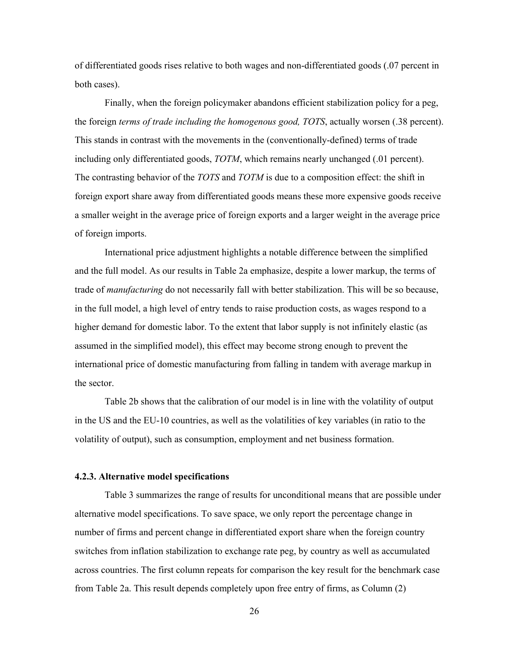of differentiated goods rises relative to both wages and non-differentiated goods (.07 percent in both cases).

Finally, when the foreign policymaker abandons efficient stabilization policy for a peg, the foreign *terms of trade including the homogenous good, TOTS*, actually worsen (.38 percent). This stands in contrast with the movements in the (conventionally-defined) terms of trade including only differentiated goods, *TOTM*, which remains nearly unchanged (.01 percent). The contrasting behavior of the *TOTS* and *TOTM* is due to a composition effect: the shift in foreign export share away from differentiated goods means these more expensive goods receive a smaller weight in the average price of foreign exports and a larger weight in the average price of foreign imports.

International price adjustment highlights a notable difference between the simplified and the full model. As our results in Table 2a emphasize, despite a lower markup, the terms of trade of *manufacturing* do not necessarily fall with better stabilization. This will be so because, in the full model, a high level of entry tends to raise production costs, as wages respond to a higher demand for domestic labor. To the extent that labor supply is not infinitely elastic (as assumed in the simplified model), this effect may become strong enough to prevent the international price of domestic manufacturing from falling in tandem with average markup in the sector.

Table 2b shows that the calibration of our model is in line with the volatility of output in the US and the EU-10 countries, as well as the volatilities of key variables (in ratio to the volatility of output), such as consumption, employment and net business formation.

#### **4.2.3. Alternative model specifications**

 Table 3 summarizes the range of results for unconditional means that are possible under alternative model specifications. To save space, we only report the percentage change in number of firms and percent change in differentiated export share when the foreign country switches from inflation stabilization to exchange rate peg, by country as well as accumulated across countries. The first column repeats for comparison the key result for the benchmark case from Table 2a. This result depends completely upon free entry of firms, as Column (2)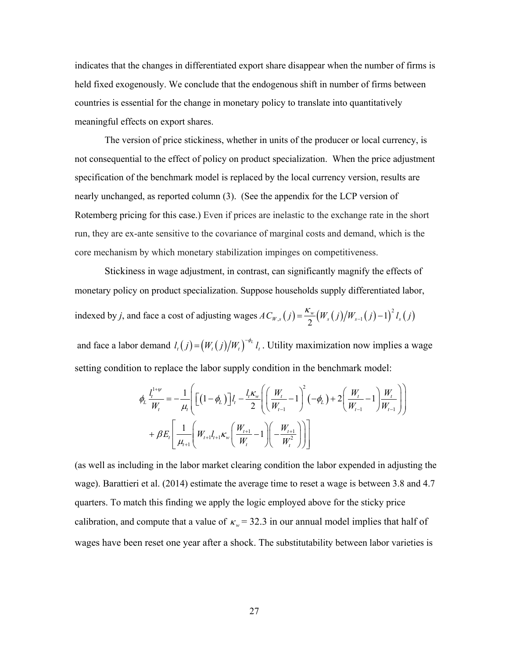indicates that the changes in differentiated export share disappear when the number of firms is held fixed exogenously. We conclude that the endogenous shift in number of firms between countries is essential for the change in monetary policy to translate into quantitatively meaningful effects on export shares.

The version of price stickiness, whether in units of the producer or local currency, is not consequential to the effect of policy on product specialization. When the price adjustment specification of the benchmark model is replaced by the local currency version, results are nearly unchanged, as reported column (3). (See the appendix for the LCP version of Rotemberg pricing for this case.) Even if prices are inelastic to the exchange rate in the short run, they are ex-ante sensitive to the covariance of marginal costs and demand, which is the core mechanism by which monetary stabilization impinges on competitiveness.

Stickiness in wage adjustment, in contrast, can significantly magnify the effects of monetary policy on product specialization. Suppose households supply differentiated labor, indexed by *j*, and face a cost of adjusting wages  $AC_{W,s}(j) = \frac{K_w}{2} (W_s(j)/W_{s-1}(j)-1)^2 l_s(j)$ 

and face a labor demand  $l_i(j) = (W_i(j)/W_i)^{-\phi_i} l_i$ . Utility maximization now implies a wage

setting condition to replace the labor supply condition in the benchmark model:

$$
\phi_L \frac{l_i^{1+\psi}}{W_i} = -\frac{1}{\mu_t} \Bigg[ \Big[ (1 - \phi_L) \Big] l_i - \frac{l_i \kappa_w}{2} \Bigg( \Bigg( \frac{W_t}{W_{t-1}} - 1 \Bigg)^2 \Big( -\phi_L \Big) + 2 \Bigg( \frac{W_t}{W_{t-1}} - 1 \Bigg) \frac{W_t}{W_{t-1}} \Bigg) \Bigg] + \beta E_t \Bigg[ \frac{1}{\mu_{t+1}} \Bigg( W_{t+1} l_{t+1} \kappa_w \Bigg( \frac{W_{t+1}}{W_t} - 1 \Bigg) \Bigg( -\frac{W_{t+1}}{W_t^2} \Bigg) \Bigg) \Bigg]
$$

(as well as including in the labor market clearing condition the labor expended in adjusting the wage). Barattieri et al. (2014) estimate the average time to reset a wage is between 3.8 and 4.7 quarters. To match this finding we apply the logic employed above for the sticky price calibration, and compute that a value of  $\kappa_w = 32.3$  in our annual model implies that half of wages have been reset one year after a shock. The substitutability between labor varieties is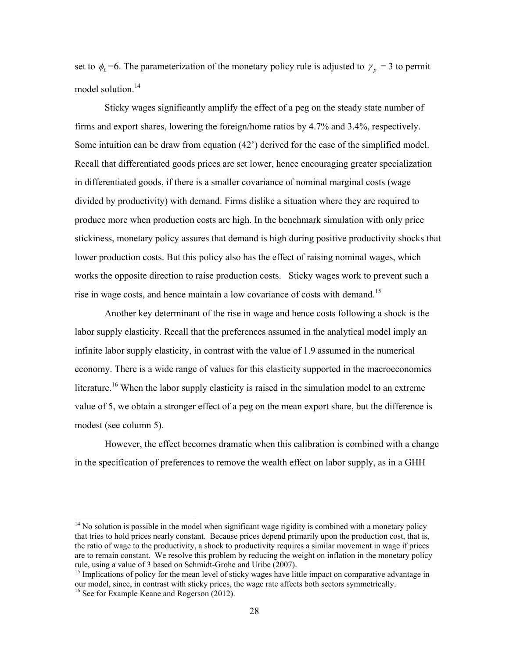set to  $\phi_L = 6$ . The parameterization of the monetary policy rule is adjusted to  $\gamma_n = 3$  to permit model solution.<sup>14</sup>

 Sticky wages significantly amplify the effect of a peg on the steady state number of firms and export shares, lowering the foreign/home ratios by 4.7% and 3.4%, respectively. Some intuition can be draw from equation (42') derived for the case of the simplified model. Recall that differentiated goods prices are set lower, hence encouraging greater specialization in differentiated goods, if there is a smaller covariance of nominal marginal costs (wage divided by productivity) with demand. Firms dislike a situation where they are required to produce more when production costs are high. In the benchmark simulation with only price stickiness, monetary policy assures that demand is high during positive productivity shocks that lower production costs. But this policy also has the effect of raising nominal wages, which works the opposite direction to raise production costs. Sticky wages work to prevent such a rise in wage costs, and hence maintain a low covariance of costs with demand.<sup>15</sup>

 Another key determinant of the rise in wage and hence costs following a shock is the labor supply elasticity. Recall that the preferences assumed in the analytical model imply an infinite labor supply elasticity, in contrast with the value of 1.9 assumed in the numerical economy. There is a wide range of values for this elasticity supported in the macroeconomics literature.<sup>16</sup> When the labor supply elasticity is raised in the simulation model to an extreme value of 5, we obtain a stronger effect of a peg on the mean export share, but the difference is modest (see column 5).

However, the effect becomes dramatic when this calibration is combined with a change in the specification of preferences to remove the wealth effect on labor supply, as in a GHH

 $\overline{a}$ 

 $14$  No solution is possible in the model when significant wage rigidity is combined with a monetary policy that tries to hold prices nearly constant. Because prices depend primarily upon the production cost, that is, the ratio of wage to the productivity, a shock to productivity requires a similar movement in wage if prices are to remain constant. We resolve this problem by reducing the weight on inflation in the monetary policy rule, using a value of 3 based on Schmidt-Grohe and Uribe (2007).

<sup>&</sup>lt;sup>15</sup> Implications of policy for the mean level of sticky wages have little impact on comparative advantage in our model, since, in contrast with sticky prices, the wage rate affects both sectors symmetrically. 16 See for Example Keane and Rogerson (2012).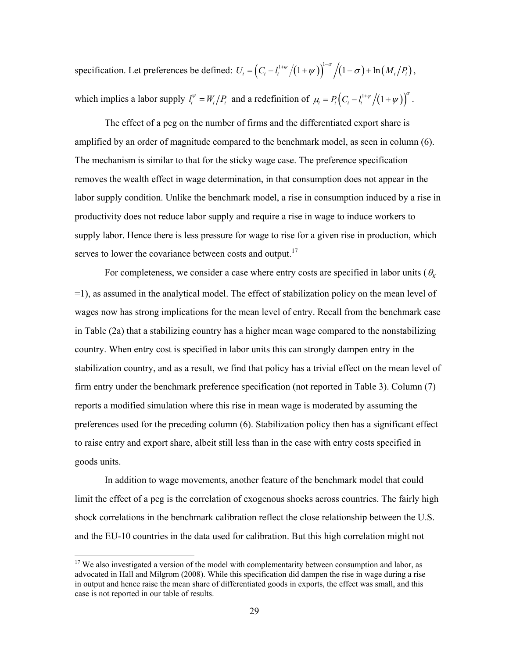specification. Let preferences be defined:  $U_t = \left(C_t - l_t^{1+\psi}/(1+\psi)\right)^{1-\sigma}/(1-\sigma) + \ln(M_t/P_t)$ , which implies a labor supply  $l_t^{\psi} = W_t/P_t$  and a redefinition of  $\mu_t = P_t \Big( C_t - l_t^{1+\psi}/(1+\psi) \Big)^{\sigma}$ .

 The effect of a peg on the number of firms and the differentiated export share is amplified by an order of magnitude compared to the benchmark model, as seen in column (6). The mechanism is similar to that for the sticky wage case. The preference specification removes the wealth effect in wage determination, in that consumption does not appear in the labor supply condition. Unlike the benchmark model, a rise in consumption induced by a rise in productivity does not reduce labor supply and require a rise in wage to induce workers to supply labor. Hence there is less pressure for wage to rise for a given rise in production, which serves to lower the covariance between costs and output.<sup>17</sup>

For completeness, we consider a case where entry costs are specified in labor units ( $\theta_K$ =1), as assumed in the analytical model. The effect of stabilization policy on the mean level of wages now has strong implications for the mean level of entry. Recall from the benchmark case in Table (2a) that a stabilizing country has a higher mean wage compared to the nonstabilizing country. When entry cost is specified in labor units this can strongly dampen entry in the stabilization country, and as a result, we find that policy has a trivial effect on the mean level of firm entry under the benchmark preference specification (not reported in Table 3). Column (7) reports a modified simulation where this rise in mean wage is moderated by assuming the preferences used for the preceding column (6). Stabilization policy then has a significant effect to raise entry and export share, albeit still less than in the case with entry costs specified in goods units.

 In addition to wage movements, another feature of the benchmark model that could limit the effect of a peg is the correlation of exogenous shocks across countries. The fairly high shock correlations in the benchmark calibration reflect the close relationship between the U.S. and the EU-10 countries in the data used for calibration. But this high correlation might not

 $\overline{a}$ 

 $17$  We also investigated a version of the model with complementarity between consumption and labor, as advocated in Hall and Milgrom (2008). While this specification did dampen the rise in wage during a rise in output and hence raise the mean share of differentiated goods in exports, the effect was small, and this case is not reported in our table of results.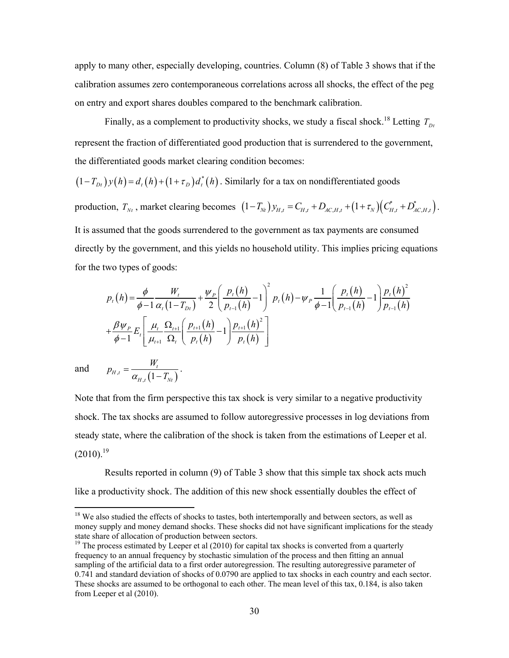apply to many other, especially developing, countries. Column (8) of Table 3 shows that if the calibration assumes zero contemporaneous correlations across all shocks, the effect of the peg on entry and export shares doubles compared to the benchmark calibration.

Finally, as a complement to productivity shocks, we study a fiscal shock.<sup>18</sup> Letting  $T_{Dt}$ represent the fraction of differentiated good production that is surrendered to the government, the differentiated goods market clearing condition becomes:

 $(1 - T_{Dt}) y(h) = d_t(h) + (1 + \tau_D) d_t^*(h)$ . Similarly for a tax on nondifferentiated goods

production,  $T_{Nt}$ , market clearing becomes  $(1 - T_{Nt}) y_{H,t} = C_{H,t} + D_{AC,H,t} + (1 + \tau_N)(C_{H,t}^* + D_{AC,H,t}^*)$ . It is assumed that the goods surrendered to the government as tax payments are consumed directly by the government, and this yields no household utility. This implies pricing equations for the two types of goods:

$$
p_{t}(h) = \frac{\phi}{\phi - 1} \frac{W_{t}}{\alpha_{t} (1 - T_{Dt})} + \frac{\psi_{P}}{2} \left( \frac{p_{t}(h)}{p_{t-1}(h)} - 1 \right)^{2} p_{t}(h) - \psi_{P} \frac{1}{\phi - 1} \left( \frac{p_{t}(h)}{p_{t-1}(h)} - 1 \right) \frac{p_{t}(h)^{2}}{p_{t-1}(h)}
$$

$$
+ \frac{\beta \psi_{P}}{\phi - 1} E_{t} \left[ \frac{\mu_{t}}{\mu_{t+1}} \frac{\Omega_{t+1}}{\Omega_{t}} \left( \frac{p_{t+1}(h)}{p_{t}(h)} - 1 \right) \frac{p_{t+1}(h)^{2}}{p_{t}(h)} \right]
$$

 $\overline{a}$ 

and 
$$
p_{H,t} = \frac{W_t}{\alpha_{H,t} (1 - T_{Nt})}.
$$

Note that from the firm perspective this tax shock is very similar to a negative productivity shock. The tax shocks are assumed to follow autoregressive processes in log deviations from steady state, where the calibration of the shock is taken from the estimations of Leeper et al.  $(2010).^{19}$ 

 Results reported in column (9) of Table 3 show that this simple tax shock acts much like a productivity shock. The addition of this new shock essentially doubles the effect of

<sup>&</sup>lt;sup>18</sup> We also studied the effects of shocks to tastes, both intertemporally and between sectors, as well as money supply and money demand shocks. These shocks did not have significant implications for the steady state share of allocation of production between sectors.

<sup>&</sup>lt;sup>19</sup> The process estimated by Leeper et al (2010) for capital tax shocks is converted from a quarterly frequency to an annual frequency by stochastic simulation of the process and then fitting an annual sampling of the artificial data to a first order autoregression. The resulting autoregressive parameter of 0.741 and standard deviation of shocks of 0.0790 are applied to tax shocks in each country and each sector. These shocks are assumed to be orthogonal to each other. The mean level of this tax, 0.184, is also taken from Leeper et al (2010).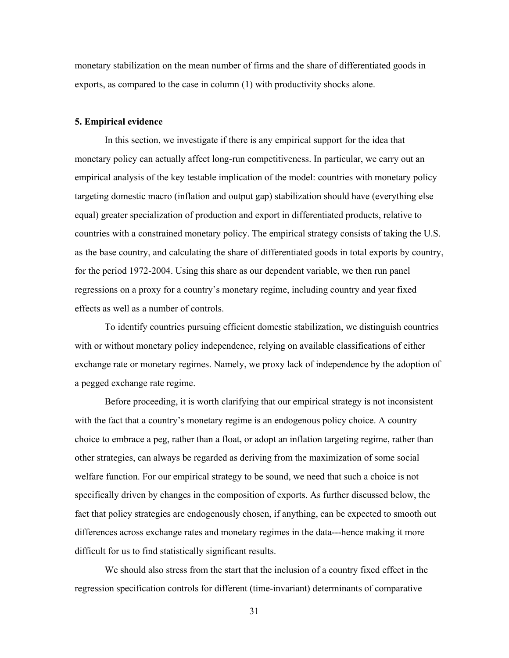monetary stabilization on the mean number of firms and the share of differentiated goods in exports, as compared to the case in column (1) with productivity shocks alone.

#### **5. Empirical evidence**

 In this section, we investigate if there is any empirical support for the idea that monetary policy can actually affect long-run competitiveness. In particular, we carry out an empirical analysis of the key testable implication of the model: countries with monetary policy targeting domestic macro (inflation and output gap) stabilization should have (everything else equal) greater specialization of production and export in differentiated products, relative to countries with a constrained monetary policy. The empirical strategy consists of taking the U.S. as the base country, and calculating the share of differentiated goods in total exports by country, for the period 1972-2004. Using this share as our dependent variable, we then run panel regressions on a proxy for a country's monetary regime, including country and year fixed effects as well as a number of controls.

To identify countries pursuing efficient domestic stabilization, we distinguish countries with or without monetary policy independence, relying on available classifications of either exchange rate or monetary regimes. Namely, we proxy lack of independence by the adoption of a pegged exchange rate regime.

 Before proceeding, it is worth clarifying that our empirical strategy is not inconsistent with the fact that a country's monetary regime is an endogenous policy choice. A country choice to embrace a peg, rather than a float, or adopt an inflation targeting regime, rather than other strategies, can always be regarded as deriving from the maximization of some social welfare function. For our empirical strategy to be sound, we need that such a choice is not specifically driven by changes in the composition of exports. As further discussed below, the fact that policy strategies are endogenously chosen, if anything, can be expected to smooth out differences across exchange rates and monetary regimes in the data---hence making it more difficult for us to find statistically significant results.

We should also stress from the start that the inclusion of a country fixed effect in the regression specification controls for different (time-invariant) determinants of comparative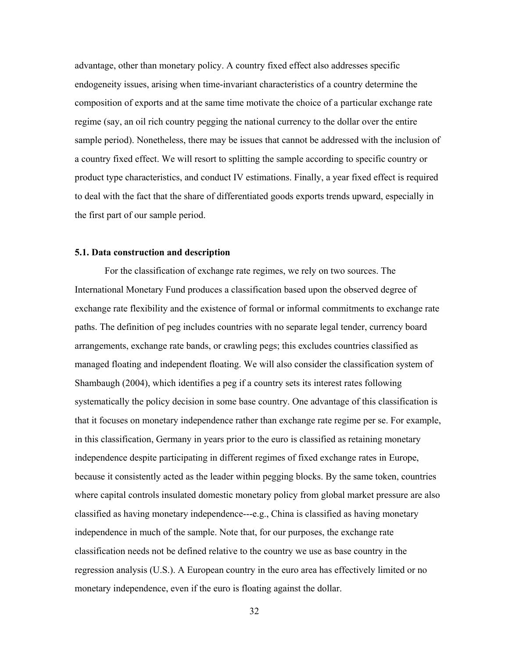advantage, other than monetary policy. A country fixed effect also addresses specific endogeneity issues, arising when time-invariant characteristics of a country determine the composition of exports and at the same time motivate the choice of a particular exchange rate regime (say, an oil rich country pegging the national currency to the dollar over the entire sample period). Nonetheless, there may be issues that cannot be addressed with the inclusion of a country fixed effect. We will resort to splitting the sample according to specific country or product type characteristics, and conduct IV estimations. Finally, a year fixed effect is required to deal with the fact that the share of differentiated goods exports trends upward, especially in the first part of our sample period.

#### **5.1. Data construction and description**

 For the classification of exchange rate regimes, we rely on two sources. The International Monetary Fund produces a classification based upon the observed degree of exchange rate flexibility and the existence of formal or informal commitments to exchange rate paths. The definition of peg includes countries with no separate legal tender, currency board arrangements, exchange rate bands, or crawling pegs; this excludes countries classified as managed floating and independent floating. We will also consider the classification system of Shambaugh (2004), which identifies a peg if a country sets its interest rates following systematically the policy decision in some base country. One advantage of this classification is that it focuses on monetary independence rather than exchange rate regime per se. For example, in this classification, Germany in years prior to the euro is classified as retaining monetary independence despite participating in different regimes of fixed exchange rates in Europe, because it consistently acted as the leader within pegging blocks. By the same token, countries where capital controls insulated domestic monetary policy from global market pressure are also classified as having monetary independence---e.g., China is classified as having monetary independence in much of the sample. Note that, for our purposes, the exchange rate classification needs not be defined relative to the country we use as base country in the regression analysis (U.S.). A European country in the euro area has effectively limited or no monetary independence, even if the euro is floating against the dollar.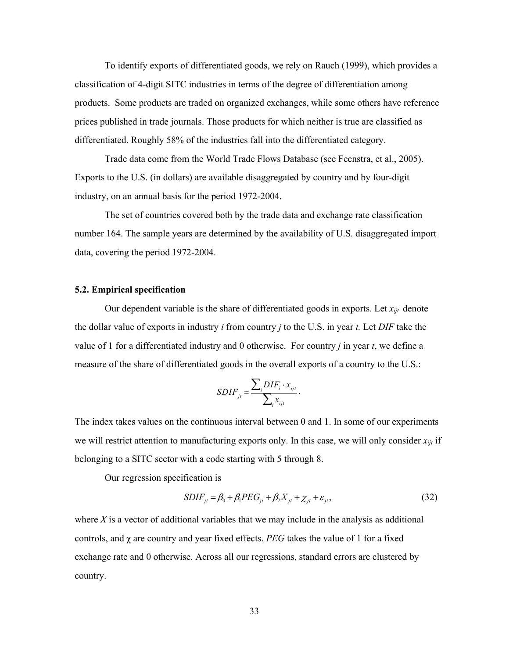To identify exports of differentiated goods, we rely on Rauch (1999), which provides a classification of 4-digit SITC industries in terms of the degree of differentiation among products. Some products are traded on organized exchanges, while some others have reference prices published in trade journals. Those products for which neither is true are classified as differentiated. Roughly 58% of the industries fall into the differentiated category.

Trade data come from the World Trade Flows Database (see Feenstra, et al., 2005). Exports to the U.S. (in dollars) are available disaggregated by country and by four-digit industry, on an annual basis for the period 1972-2004.

 The set of countries covered both by the trade data and exchange rate classification number 164. The sample years are determined by the availability of U.S. disaggregated import data, covering the period 1972-2004.

#### **5.2. Empirical specification**

Our dependent variable is the share of differentiated goods in exports. Let  $x_{ijt}$  denote the dollar value of exports in industry *i* from country *j* to the U.S. in year *t.* Let *DIF* take the value of 1 for a differentiated industry and 0 otherwise. For country *j* in year *t*, we define a measure of the share of differentiated goods in the overall exports of a country to the U.S.:

$$
SDIF_{jt} = \frac{\sum_{i} DIF_{i} \cdot x_{ijt}}{\sum_{i} x_{ijt}}.
$$

The index takes values on the continuous interval between 0 and 1. In some of our experiments we will restrict attention to manufacturing exports only. In this case, we will only consider *xijt* if belonging to a SITC sector with a code starting with 5 through 8.

Our regression specification is

$$
SDIF_{jt} = \beta_0 + \beta_1 PEG_{jt} + \beta_2 X_{jt} + \chi_{jt} + \varepsilon_{jt},
$$
\n(32)

where *X* is a vector of additional variables that we may include in the analysis as additional controls, and  $\chi$  are country and year fixed effects. *PEG* takes the value of 1 for a fixed exchange rate and 0 otherwise. Across all our regressions, standard errors are clustered by country.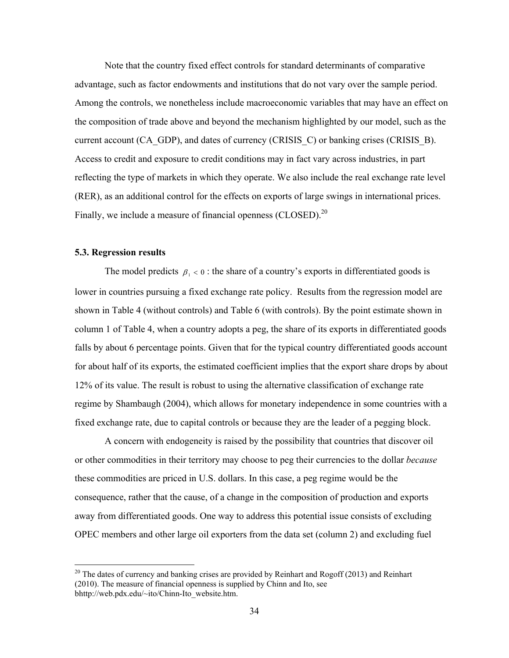Note that the country fixed effect controls for standard determinants of comparative advantage, such as factor endowments and institutions that do not vary over the sample period. Among the controls, we nonetheless include macroeconomic variables that may have an effect on the composition of trade above and beyond the mechanism highlighted by our model, such as the current account (CA\_GDP), and dates of currency (CRISIS\_C) or banking crises (CRISIS\_B). Access to credit and exposure to credit conditions may in fact vary across industries, in part reflecting the type of markets in which they operate. We also include the real exchange rate level (RER), as an additional control for the effects on exports of large swings in international prices. Finally, we include a measure of financial openness  $(CLOSED)$ <sup>20</sup>

#### **5.3. Regression results**

 $\overline{a}$ 

The model predicts  $\beta_1 < 0$ : the share of a country's exports in differentiated goods is lower in countries pursuing a fixed exchange rate policy. Results from the regression model are shown in Table 4 (without controls) and Table 6 (with controls). By the point estimate shown in column 1 of Table 4, when a country adopts a peg, the share of its exports in differentiated goods falls by about 6 percentage points. Given that for the typical country differentiated goods account for about half of its exports, the estimated coefficient implies that the export share drops by about 12% of its value. The result is robust to using the alternative classification of exchange rate regime by Shambaugh (2004), which allows for monetary independence in some countries with a fixed exchange rate, due to capital controls or because they are the leader of a pegging block.

 A concern with endogeneity is raised by the possibility that countries that discover oil or other commodities in their territory may choose to peg their currencies to the dollar *because*  these commodities are priced in U.S. dollars. In this case, a peg regime would be the consequence, rather that the cause, of a change in the composition of production and exports away from differentiated goods. One way to address this potential issue consists of excluding OPEC members and other large oil exporters from the data set (column 2) and excluding fuel

 $20$  The dates of currency and banking crises are provided by Reinhart and Rogoff (2013) and Reinhart (2010). The measure of financial openness is supplied by Chinn and Ito, see bhttp://web.pdx.edu/~ito/Chinn-Ito\_website.htm.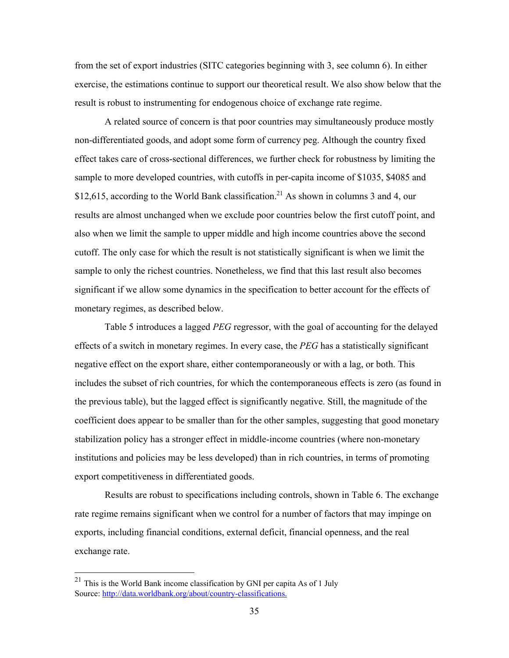from the set of export industries (SITC categories beginning with 3, see column 6). In either exercise, the estimations continue to support our theoretical result. We also show below that the result is robust to instrumenting for endogenous choice of exchange rate regime.

A related source of concern is that poor countries may simultaneously produce mostly non-differentiated goods, and adopt some form of currency peg. Although the country fixed effect takes care of cross-sectional differences, we further check for robustness by limiting the sample to more developed countries, with cutoffs in per-capita income of \$1035, \$4085 and \$12,615, according to the World Bank classification.<sup>21</sup> As shown in columns 3 and 4, our results are almost unchanged when we exclude poor countries below the first cutoff point, and also when we limit the sample to upper middle and high income countries above the second cutoff. The only case for which the result is not statistically significant is when we limit the sample to only the richest countries. Nonetheless, we find that this last result also becomes significant if we allow some dynamics in the specification to better account for the effects of monetary regimes, as described below.

Table 5 introduces a lagged *PEG* regressor, with the goal of accounting for the delayed effects of a switch in monetary regimes. In every case, the *PEG* has a statistically significant negative effect on the export share, either contemporaneously or with a lag, or both. This includes the subset of rich countries, for which the contemporaneous effects is zero (as found in the previous table), but the lagged effect is significantly negative. Still, the magnitude of the coefficient does appear to be smaller than for the other samples, suggesting that good monetary stabilization policy has a stronger effect in middle-income countries (where non-monetary institutions and policies may be less developed) than in rich countries, in terms of promoting export competitiveness in differentiated goods.

Results are robust to specifications including controls, shown in Table 6. The exchange rate regime remains significant when we control for a number of factors that may impinge on exports, including financial conditions, external deficit, financial openness, and the real exchange rate.

 $\overline{a}$ 

 $^{21}$  This is the World Bank income classification by GNI per capita As of 1 July Source: http://data.worldbank.org/about/country-classifications.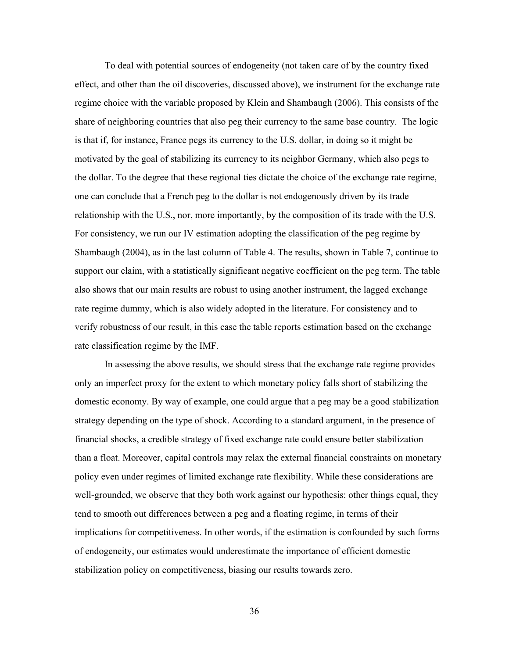To deal with potential sources of endogeneity (not taken care of by the country fixed effect, and other than the oil discoveries, discussed above), we instrument for the exchange rate regime choice with the variable proposed by Klein and Shambaugh (2006). This consists of the share of neighboring countries that also peg their currency to the same base country. The logic is that if, for instance, France pegs its currency to the U.S. dollar, in doing so it might be motivated by the goal of stabilizing its currency to its neighbor Germany, which also pegs to the dollar. To the degree that these regional ties dictate the choice of the exchange rate regime, one can conclude that a French peg to the dollar is not endogenously driven by its trade relationship with the U.S., nor, more importantly, by the composition of its trade with the U.S. For consistency, we run our IV estimation adopting the classification of the peg regime by Shambaugh (2004), as in the last column of Table 4. The results, shown in Table 7, continue to support our claim, with a statistically significant negative coefficient on the peg term. The table also shows that our main results are robust to using another instrument, the lagged exchange rate regime dummy, which is also widely adopted in the literature. For consistency and to verify robustness of our result, in this case the table reports estimation based on the exchange rate classification regime by the IMF.

In assessing the above results, we should stress that the exchange rate regime provides only an imperfect proxy for the extent to which monetary policy falls short of stabilizing the domestic economy. By way of example, one could argue that a peg may be a good stabilization strategy depending on the type of shock. According to a standard argument, in the presence of financial shocks, a credible strategy of fixed exchange rate could ensure better stabilization than a float. Moreover, capital controls may relax the external financial constraints on monetary policy even under regimes of limited exchange rate flexibility. While these considerations are well-grounded, we observe that they both work against our hypothesis: other things equal, they tend to smooth out differences between a peg and a floating regime, in terms of their implications for competitiveness. In other words, if the estimation is confounded by such forms of endogeneity, our estimates would underestimate the importance of efficient domestic stabilization policy on competitiveness, biasing our results towards zero.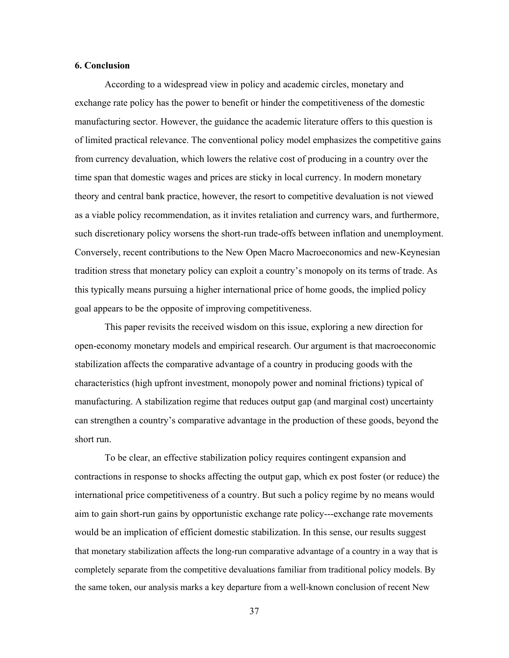#### **6. Conclusion**

According to a widespread view in policy and academic circles, monetary and exchange rate policy has the power to benefit or hinder the competitiveness of the domestic manufacturing sector. However, the guidance the academic literature offers to this question is of limited practical relevance. The conventional policy model emphasizes the competitive gains from currency devaluation, which lowers the relative cost of producing in a country over the time span that domestic wages and prices are sticky in local currency. In modern monetary theory and central bank practice, however, the resort to competitive devaluation is not viewed as a viable policy recommendation, as it invites retaliation and currency wars, and furthermore, such discretionary policy worsens the short-run trade-offs between inflation and unemployment. Conversely, recent contributions to the New Open Macro Macroeconomics and new-Keynesian tradition stress that monetary policy can exploit a country's monopoly on its terms of trade. As this typically means pursuing a higher international price of home goods, the implied policy goal appears to be the opposite of improving competitiveness.

This paper revisits the received wisdom on this issue, exploring a new direction for open-economy monetary models and empirical research. Our argument is that macroeconomic stabilization affects the comparative advantage of a country in producing goods with the characteristics (high upfront investment, monopoly power and nominal frictions) typical of manufacturing. A stabilization regime that reduces output gap (and marginal cost) uncertainty can strengthen a country's comparative advantage in the production of these goods, beyond the short run.

To be clear, an effective stabilization policy requires contingent expansion and contractions in response to shocks affecting the output gap, which ex post foster (or reduce) the international price competitiveness of a country. But such a policy regime by no means would aim to gain short-run gains by opportunistic exchange rate policy---exchange rate movements would be an implication of efficient domestic stabilization. In this sense, our results suggest that monetary stabilization affects the long-run comparative advantage of a country in a way that is completely separate from the competitive devaluations familiar from traditional policy models. By the same token, our analysis marks a key departure from a well-known conclusion of recent New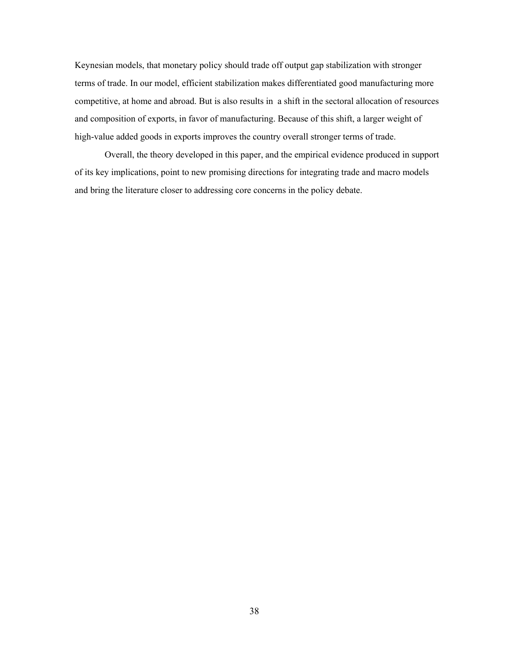Keynesian models, that monetary policy should trade off output gap stabilization with stronger terms of trade. In our model, efficient stabilization makes differentiated good manufacturing more competitive, at home and abroad. But is also results in a shift in the sectoral allocation of resources and composition of exports, in favor of manufacturing. Because of this shift, a larger weight of high-value added goods in exports improves the country overall stronger terms of trade.

Overall, the theory developed in this paper, and the empirical evidence produced in support of its key implications, point to new promising directions for integrating trade and macro models and bring the literature closer to addressing core concerns in the policy debate.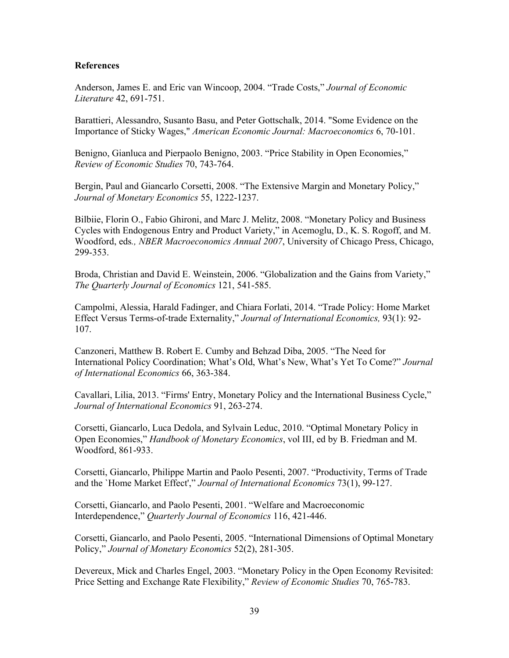#### **References**

Anderson, James E. and Eric van Wincoop, 2004. "Trade Costs," *Journal of Economic Literature* 42, 691-751.

Barattieri, Alessandro, Susanto Basu, and Peter Gottschalk, 2014. "Some Evidence on the Importance of Sticky Wages," *American Economic Journal: Macroeconomics* 6, 70-101.

Benigno, Gianluca and Pierpaolo Benigno, 2003. "Price Stability in Open Economies," *Review of Economic Studies* 70, 743-764.

Bergin, Paul and Giancarlo Corsetti, 2008. "The Extensive Margin and Monetary Policy," *Journal of Monetary Economics* 55, 1222-1237.

Bilbiie, Florin O., Fabio Ghironi, and Marc J. Melitz, 2008. "Monetary Policy and Business Cycles with Endogenous Entry and Product Variety," in Acemoglu, D., K. S. Rogoff, and M. Woodford, eds*., NBER Macroeconomics Annual 2007*, University of Chicago Press, Chicago, 299-353.

Broda, Christian and David E. Weinstein, 2006. "Globalization and the Gains from Variety," *The Quarterly Journal of Economics* 121, 541-585.

Campolmi, Alessia, Harald Fadinger, and Chiara Forlati, 2014. "Trade Policy: Home Market Effect Versus Terms-of-trade Externality," *Journal of International Economics,* 93(1): 92- 107.

Canzoneri, Matthew B. Robert E. Cumby and Behzad Diba, 2005. "The Need for International Policy Coordination; What's Old, What's New, What's Yet To Come?" *Journal of International Economics* 66, 363-384.

Cavallari, Lilia, 2013. "Firms' Entry, Monetary Policy and the International Business Cycle," *Journal of International Economics* 91, 263-274.

Corsetti, Giancarlo, Luca Dedola, and Sylvain Leduc, 2010. "Optimal Monetary Policy in Open Economies," *Handbook of Monetary Economics*, vol III, ed by B. Friedman and M. Woodford, 861-933.

Corsetti, Giancarlo, Philippe Martin and Paolo Pesenti, 2007. "Productivity, Terms of Trade and the `Home Market Effect'," *Journal of International Economics* 73(1), 99-127.

Corsetti, Giancarlo, and Paolo Pesenti, 2001. "Welfare and Macroeconomic Interdependence," *Quarterly Journal of Economics* 116, 421-446.

Corsetti, Giancarlo, and Paolo Pesenti, 2005. "International Dimensions of Optimal Monetary Policy," *Journal of Monetary Economics* 52(2), 281-305.

Devereux, Mick and Charles Engel, 2003. "Monetary Policy in the Open Economy Revisited: Price Setting and Exchange Rate Flexibility," *Review of Economic Studies* 70, 765-783.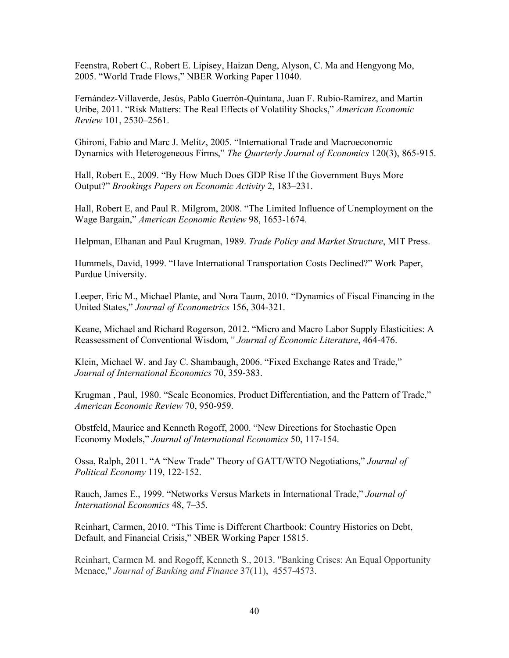Feenstra, Robert C., Robert E. Lipisey, Haizan Deng, Alyson, C. Ma and Hengyong Mo, 2005. "World Trade Flows," NBER Working Paper 11040.

Fernández-Villaverde, Jesús, Pablo Guerrón-Quintana, Juan F. Rubio-Ramírez, and Martin Uribe, 2011. "Risk Matters: The Real Effects of Volatility Shocks," *American Economic Review* 101, 2530–2561.

Ghironi, Fabio and Marc J. Melitz, 2005. "International Trade and Macroeconomic Dynamics with Heterogeneous Firms," *The Quarterly Journal of Economics* 120(3), 865-915.

Hall, Robert E., 2009. "By How Much Does GDP Rise If the Government Buys More Output?" *Brookings Papers on Economic Activity* 2, 183–231.

Hall, Robert E, and Paul R. Milgrom, 2008. "The Limited Influence of Unemployment on the Wage Bargain," *American Economic Review* 98, 1653-1674.

Helpman, Elhanan and Paul Krugman, 1989. *Trade Policy and Market Structure*, MIT Press.

Hummels, David, 1999. "Have International Transportation Costs Declined?" Work Paper, Purdue University.

Leeper, Eric M., Michael Plante, and Nora Taum, 2010. "Dynamics of Fiscal Financing in the United States," *Journal of Econometrics* 156, 304-321.

Keane, Michael and Richard Rogerson, 2012. "Micro and Macro Labor Supply Elasticities: A Reassessment of Conventional Wisdom*," Journal of Economic Literature*, 464-476.

Klein, Michael W. and Jay C. Shambaugh, 2006. "Fixed Exchange Rates and Trade," *Journal of International Economics* 70, 359-383.

Krugman , Paul, 1980. "Scale Economies, Product Differentiation, and the Pattern of Trade," *American Economic Review* 70, 950-959.

Obstfeld, Maurice and Kenneth Rogoff, 2000. "New Directions for Stochastic Open Economy Models," *Journal of International Economics* 50, 117-154.

Ossa, Ralph, 2011. "A "New Trade" Theory of GATT/WTO Negotiations," *Journal of Political Economy* 119, 122-152.

Rauch, James E., 1999. "Networks Versus Markets in International Trade," *Journal of International Economics* 48, 7–35.

Reinhart, Carmen, 2010. "This Time is Different Chartbook: Country Histories on Debt, Default, and Financial Crisis," NBER Working Paper 15815.

Reinhart, Carmen M. and Rogoff, Kenneth S., 2013. "Banking Crises: An Equal Opportunity Menace," *Journal of Banking and Finance* 37(11), 4557-4573.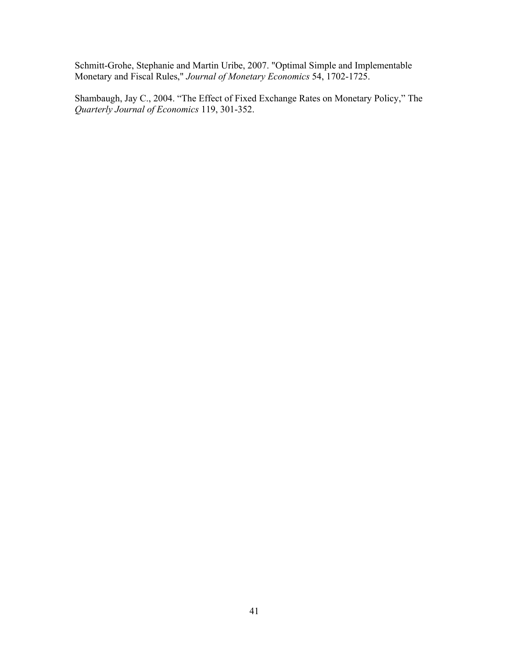Schmitt-Grohe, Stephanie and Martin Uribe, 2007. "Optimal Simple and Implementable Monetary and Fiscal Rules," *Journal of Monetary Economics* 54, 1702-1725.

Shambaugh, Jay C., 2004. "The Effect of Fixed Exchange Rates on Monetary Policy," The *Quarterly Journal of Economics* 119, 301-352.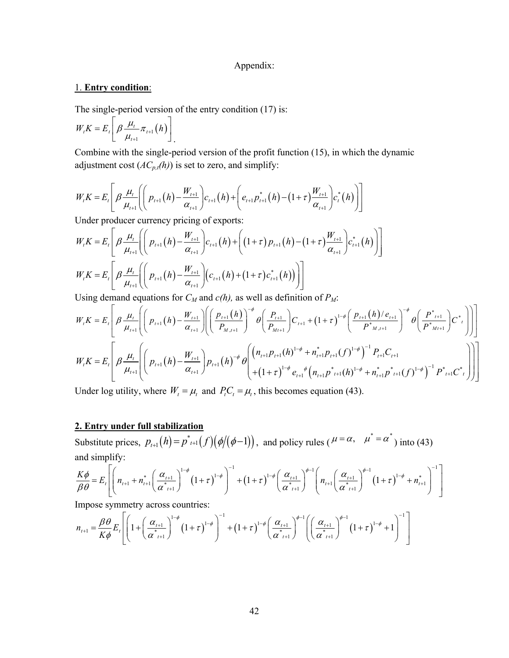#### Appendix:

#### 1. **Entry condition**:

The single-period version of the entry condition (17) is:

$$
W_t K = E_t \left[ \beta \frac{\mu_t}{\mu_{t+1}} \pi_{t+1} (h) \right] .
$$

Combine with the single-period version of the profit function (15), in which the dynamic adjustment cost  $(AC_{p,t}(h))$  is set to zero, and simplify:

$$
W_t K = E_t \left[ \beta \frac{\mu_t}{\mu_{t+1}} \left( \left( p_{t+1}(h) - \frac{W_{t+1}}{\alpha_{t+1}} \right) c_{t+1}(h) + \left( e_{t+1} p_{t+1}^*(h) - (1+\tau) \frac{W_{t+1}}{\alpha_{t+1}} \right) c_t^*(h) \right) \right]
$$

Under producer currency pricing of exports:

$$
W_{t}K = E_{t} \left[ \beta \frac{\mu_{t}}{\mu_{t+1}} \left( \left( p_{t+1}(h) - \frac{W_{t+1}}{\alpha_{t+1}} \right) c_{t+1}(h) + \left( (1+\tau) p_{t+1}(h) - (1+\tau) \frac{W_{t+1}}{\alpha_{t+1}} \right) c_{t+1}^{*}(h) \right) \right]
$$
  

$$
W_{t}K = E_{t} \left[ \beta \frac{\mu_{t}}{\mu_{t+1}} \left( \left( p_{t+1}(h) - \frac{W_{t+1}}{\alpha_{t+1}} \right) \left( c_{t+1}(h) + (1+\tau) c_{t+1}^{*}(h) \right) \right) \right]
$$

Using demand equations for  $C_M$  and  $c(h)$ , as well as definition of  $P_M$ :

$$
W_{t}K = E_{t} \left[ \beta \frac{\mu_{t}}{\mu_{t+1}} \left( \left( p_{t+1}(h) - \frac{W_{t+1}}{\alpha_{t+1}} \right) \left( \left( \frac{p_{t+1}(h)}{P_{M,t+1}} \right)^{-\phi} \theta \left( \frac{P_{t+1}}{P_{M,t+1}} \right) C_{t+1} + (1+\tau)^{1-\phi} \left( \frac{p_{t+1}(h) / e_{t+1}}{P_{M,t+1}} \right)^{-\phi} \theta \left( \frac{P_{t+1}}{P_{M,t+1}} \right) C_{t}^{*} \right) \right] \right]
$$
  
\n
$$
W_{t}K = E_{t} \left[ \beta \frac{\mu_{t}}{\mu_{t+1}} \left( \left( p_{t+1}(h) - \frac{W_{t+1}}{\alpha_{t+1}} \right) p_{t+1}(h)^{-\phi} \theta \left( \left( n_{t+1} p_{t+1}(h)^{1-\phi} + n_{t+1}^{*} p_{t+1}(f)^{1-\phi} \right)^{-1} P_{t+1} C_{t+1} \right) \right) \right]
$$

Under log utility, where  $W_t = \mu_t$  and  $P_t C_t = \mu_t$ , this becomes equation (43).

#### **2. Entry under full stabilization**

Substitute prices,  $p_{t+1}(h) = p_{t+1}(f)(\phi/(\phi-1))$ , and policy rules ( $\mu = \alpha$ ,  $\mu^* = \alpha^*$ ) into (43) and simplify:

$$
\frac{K\phi}{\beta\theta} = E_t \left[ \left( n_{t+1} + n_{t+1}^* \left( \frac{\alpha_{t+1}}{\alpha_{t+1}^*} \right)^{1-\phi} \left( 1+\tau \right)^{1-\phi} \right)^{-1} + \left( 1+\tau \right)^{1-\phi} \left( \frac{\alpha_{t+1}}{\alpha_{t+1}^*} \right)^{\phi-1} \left( n_{t+1} \left( \frac{\alpha_{t+1}}{\alpha_{t+1}^*} \right)^{\phi-1} \left( 1+\tau \right)^{1-\phi} + n_{t+1}^* \right)^{-1} \right]
$$

Impose symmetry across countries:

$$
n_{t+1} = \frac{\beta \theta}{K\phi} E_t \left[ \left( 1 + \left( \frac{\alpha_{t+1}}{\alpha^*_{t+1}} \right)^{1-\phi} \left( 1+\tau \right)^{1-\phi} \right)^{-1} + \left( 1+\tau \right)^{1-\phi} \left( \frac{\alpha_{t+1}}{\alpha^*_{t+1}} \right)^{\phi-1} \left( \left( \frac{\alpha_{t+1}}{\alpha^*_{t+1}} \right)^{\phi-1} \left( 1+\tau \right)^{1-\phi} + 1 \right)^{-1} \right]
$$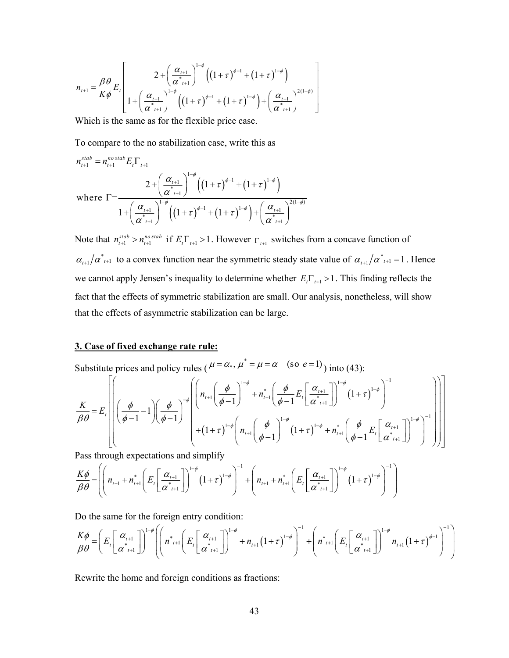$$
n_{t+1} = \frac{\beta \theta}{K \phi} E_t \left[ \frac{2 + \left(\frac{\alpha_{t+1}}{\alpha^*_{t+1}}\right)^{1-\phi} \left((1+\tau)^{\phi-1} + (1+\tau)^{1-\phi}\right)}{1 + \left(\frac{\alpha_{t+1}}{\alpha^*_{t+1}}\right)^{1-\phi} \left((1+\tau)^{\phi-1} + (1+\tau)^{1-\phi}\right) + \left(\frac{\alpha_{t+1}}{\alpha^*_{t+1}}\right)^{2(1-\phi)}} \right]
$$

Which is the same as for the flexible price case.

To compare to the no stabilization case, write this as

$$
n_{t+1}^{stab} = n_{t+1}^{no \,stab} E_t \Gamma_{t+1}
$$
\n
$$
2 + \left(\frac{\alpha_{t+1}}{\alpha_{t+1}}\right)^{1-\phi} \left(\left(1+\tau\right)^{\phi-1} + \left(1+\tau\right)^{1-\phi}\right)
$$
\nwhere  $\Gamma = \frac{2 + \left(\frac{\alpha_{t+1}}{\alpha_{t+1}}\right)^{1-\phi} \left(\left(1+\tau\right)^{\phi-1} + \left(1+\tau\right)^{1-\phi}\right) + \left(\frac{\alpha_{t+1}}{\alpha_{t+1}^*}\right)^{2(1-\phi)}}$ 

Note that  $n_{t+1}^{stab} > n_{t+1}^{no \, stab}$  if  $E_t \Gamma_{t+1} > 1$ . However  $\Gamma_{t+1}$  switches from a concave function of  $\alpha_{t+1}/\alpha_{t+1}^*$  to a convex function near the symmetric steady state value of  $\alpha_{t+1}/\alpha_{t+1}^* = 1$ . Hence we cannot apply Jensen's inequality to determine whether  $E_t \Gamma_{t+1} > 1$ . This finding reflects the fact that the effects of symmetric stabilization are small. Our analysis, nonetheless, will show that the effects of asymmetric stabilization can be large.

#### **3. Case of fixed exchange rate rule:**

Substitute prices and policy rules ( $\mu = \alpha_*$ ,  $\mu^* = \mu = \alpha$  (so  $e = 1$ ) into (43):

$$
\frac{K}{\beta\theta} = E_{t} \left[ \left( \frac{\phi}{\phi - 1} - 1 \right) \left( \frac{\phi}{\phi - 1} \right)^{-\phi} \left( n_{t+1} \left( \frac{\phi}{\phi - 1} \right)^{1-\phi} + n_{t+1}^{*} \left( \frac{\phi}{\phi - 1} E_{t} \left[ \frac{\alpha_{t+1}}{\alpha^{*}_{t+1}} \right] \right)^{1-\phi} \left( 1 + \tau \right)^{1-\phi} \right) \right]
$$

Pass through expectations and simplify

$$
\frac{K\phi}{\beta\theta} = \left( \left( n_{t+1} + n_{t+1}^* \left( E_t \left[ \frac{\alpha_{t+1}}{\alpha_{t+1}^*} \right] \right)^{1-\phi} \left( 1+\tau \right)^{1-\phi} \right)^{-1} + \left( n_{t+1} + n_{t+1}^* \left( E_t \left[ \frac{\alpha_{t+1}}{\alpha_{t+1}^*} \right] \right)^{1-\phi} \left( 1+\tau \right)^{1-\phi} \right)^{-1} \right)
$$

Do the same for the foreign entry condition:

$$
\frac{K\phi}{\beta\theta} = \left( E_t \left[ \frac{\alpha_{t+1}}{\alpha_{t+1}^{*}} \right] \right)^{1-\phi} \left( \left( n_{t+1}^{*} \left( E_t \left[ \frac{\alpha_{t+1}}{\alpha_{t+1}^{*}} \right] \right)^{1-\phi} + n_{t+1} (1+\tau)^{1-\phi} \right)^{-1} + \left( n_{t+1}^{*} \left( E_t \left[ \frac{\alpha_{t+1}}{\alpha_{t+1}^{*}} \right] \right)^{1-\phi} n_{t+1} (1+\tau)^{\phi-1} \right)^{-1} \right)
$$

Rewrite the home and foreign conditions as fractions: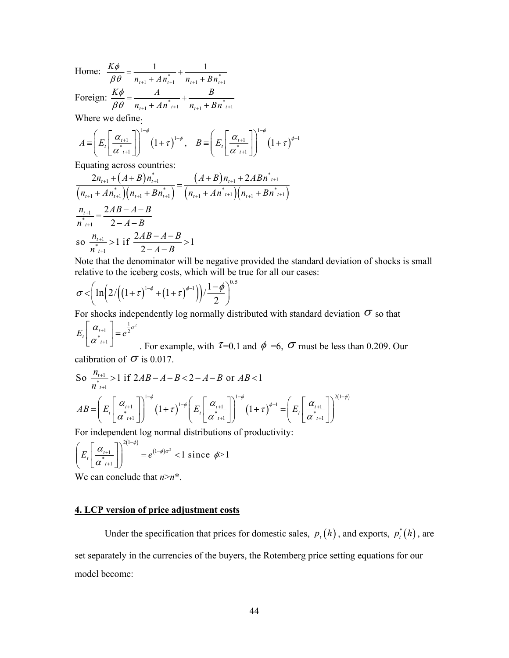*K*  $\phi$ 

Home:  $\frac{K\psi}{\beta \theta} = \frac{1}{n_{t+1} + An_{t+1}^*} + \frac{1}{n_{t+1} + B n_{t+1}^*}$  $n_{t+1} + A n_{t+1} + n_{t+1} + D n_t$  $n_{t+1} + An_{t+1}^* - n_{t+1} + Bn$  $\beta \theta$   $n_{t+1} + A n_{t+1}^*$   $n_{t+1} + B n_{t+1}^*$  $=\frac{1}{n_{t+1}+A n_{t+1}^*}+\frac{1}{n_{t+1}+B n_{t+1}^*}$ Foreign:  $\frac{K\phi}{\beta\theta} = \frac{A}{n_{t+1} + An_{t+1}^{*}} + \frac{B}{n_{t+1} + Bn_{t+1}^{*}}$  $n_{t+1} + An_{t+1}^* - n_{t+1} + Bn$  $\phi$  $\beta \theta$   $n_{t+1} + A n_{t+1}^*$   $n_{t+1} + B n_{t+1}^*$  $=$   $\frac{71}{10}$  +  $+ An^*_{t+1}$   $n_{t+1}$  +

Where we define.

$$
A = \left( E_t \left[ \frac{\alpha_{t+1}}{\alpha^*_{t+1}} \right] \right)^{1-\phi} \left( 1+\tau \right)^{1-\phi}, \quad B = \left( E_t \left[ \frac{\alpha_{t+1}}{\alpha^*_{t+1}} \right] \right)^{1-\phi} \left( 1+\tau \right)^{\phi-1}
$$

1 1

Equating across countries:

$$
\frac{2n_{t+1} + (A+B)n_{t+1}^{*}}{(n_{t+1} + An_{t+1}^{*})(n_{t+1} + Bn_{t+1}^{*})} = \frac{(A+B)n_{t+1} + 2ABn_{t+1}^{*}}{(n_{t+1} + An_{t+1}^{*})(n_{t+1} + Bn_{t+1}^{*})}
$$
\n
$$
\frac{n_{t+1}}{n_{t+1}^{*}} = \frac{2AB - A - B}{2 - A - B}
$$
\nso  $\frac{n_{t+1}}{n_{t+1}^{*}} > 1$  if  $\frac{2AB - A - B}{2 - A - B} > 1$ 

 Note that the denominator will be negative provided the standard deviation of shocks is small relative to the iceberg costs, which will be true for all our cases:

$$
\sigma < \left( \ln \left( 2 / \left( \left( 1 + \tau \right)^{1 - \phi} + \left( 1 + \tau \right)^{\phi - 1} \right) \right) / \frac{1 - \phi}{2} \right)^{0.5}
$$

For shocks independently log normally distributed with standard deviation  $\sigma$  so that

$$
E_t \left[ \frac{\alpha_{t+1}}{\alpha_{t+1}^*} \right] = e^{\frac{1}{2}\sigma^2}
$$

. For example, with  $\tau=0.1$  and  $\phi=6$ ,  $\sigma$  must be less than 0.209. Our calibration of  $\sigma$  is 0.017.

So 
$$
\frac{n_{t+1}}{n^{*}_{t+1}} > 1
$$
 if  $2AB - A - B < 2 - A - B$  or  $AB < 1$   
\n
$$
AB = \left( E_{t} \left[ \frac{\alpha_{t+1}}{\alpha^{*}_{t+1}} \right] \right)^{1-\phi} \left( 1 + \tau \right)^{1-\phi} \left( E_{t} \left[ \frac{\alpha_{t+1}}{\alpha^{*}_{t+1}} \right] \right)^{1-\phi} \left( 1 + \tau \right)^{\phi-1} = \left( E_{t} \left[ \frac{\alpha_{t+1}}{\alpha^{*}_{t+1}} \right] \right)^{2(1-\phi)}
$$

For independent log normal distributions of productivity:

$$
\left(E_{t}\left[\frac{\alpha_{t+1}}{\alpha_{t+1}^{*}}\right]\right)^{2(1-\phi)} = e^{(1-\phi)\sigma^{2}} < 1 \text{ since } \phi > 1
$$

We can conclude that  $n > n^*$ .

#### **4. LCP version of price adjustment costs**

Under the specification that prices for domestic sales,  $p_t(h)$ , and exports,  $p_t^*(h)$ , are set separately in the currencies of the buyers, the Rotemberg price setting equations for our model become: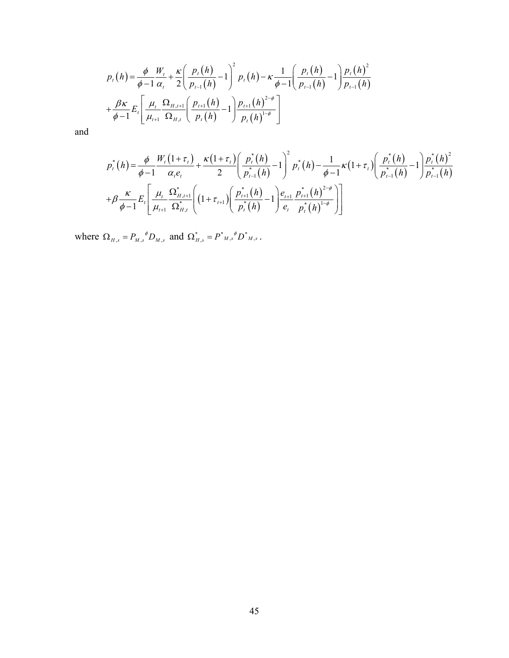$$
p_{t}(h) = \frac{\phi}{\phi - 1} \frac{W_{t}}{\alpha_{t}} + \frac{\kappa}{2} \left( \frac{p_{t}(h)}{p_{t-1}(h)} - 1 \right)^{2} p_{t}(h) - \kappa \frac{1}{\phi - 1} \left( \frac{p_{t}(h)}{p_{t-1}(h)} - 1 \right) \frac{p_{t}(h)^{2}}{p_{t-1}(h)}
$$

$$
+ \frac{\beta \kappa}{\phi - 1} E_{t} \left[ \frac{\mu_{t}}{\mu_{t+1}} \frac{\Omega_{H,t+1}}{\Omega_{H,t}} \left( \frac{p_{t+1}(h)}{p_{t}(h)} - 1 \right) \frac{p_{t+1}(h)^{2-\phi}}{p_{t}(h)^{1-\phi}} \right]
$$

and

$$
p_{t}^{*}(h) = \frac{\phi}{\phi - 1} \frac{W_{t}(1 + \tau_{t})}{\alpha_{t} e_{t}} + \frac{\kappa (1 + \tau_{t})}{2} \left( \frac{p_{t}^{*}(h)}{p_{t-1}^{*}(h)} - 1 \right)^{2} p_{t}^{*}(h) - \frac{1}{\phi - 1} \kappa (1 + \tau_{t}) \left( \frac{p_{t}^{*}(h)}{p_{t-1}^{*}(h)} - 1 \right) \frac{p_{t}^{*}(h)^{2}}{p_{t-1}^{*}(h)}
$$

$$
+ \beta \frac{\kappa}{\phi - 1} E_{t} \left[ \frac{\mu_{t}}{\mu_{t+1}} \frac{\Omega_{H,t+1}^{*}}{\Omega_{H,t}^{*}} \left( (1 + \tau_{t+1}) \left( \frac{p_{t+1}^{*}(h)}{p_{t}^{*}(h)} - 1 \right) \frac{e_{t+1}}{e_{t}} \frac{p_{t+1}^{*}(h)^{2-\phi}}{p_{t}^{*}(h)^{1-\phi}} \right) \right]
$$

where  $\Omega_{H,s} = P_{M,s}^{\ \ \ \phi} D_{M,s}$  and  $\Omega_{H,s}^* = P^*_{M,s}^{\ \ \phi} D^*_{M,s}$ .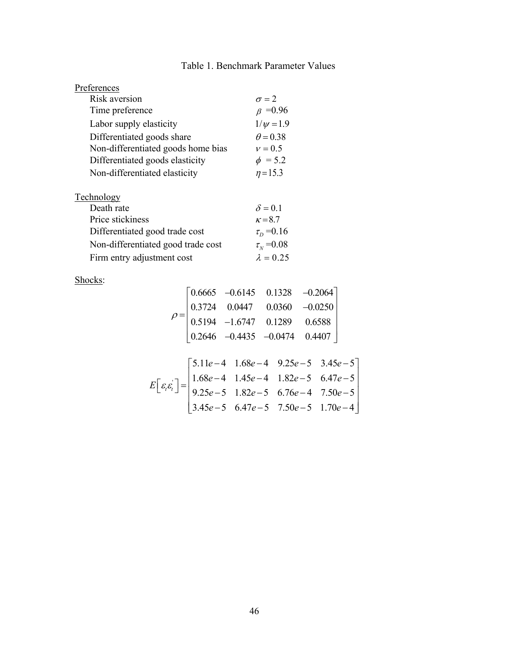## Table 1. Benchmark Parameter Values

| Preferences                        |                   |
|------------------------------------|-------------------|
| Risk aversion                      | $\sigma = 2$      |
| Time preference                    | $\beta = 0.96$    |
| Labor supply elasticity            | $1/\psi = 1.9$    |
| Differentiated goods share         | $\theta$ = 0.38   |
| Non-differentiated goods home bias | $v = 0.5$         |
| Differentiated goods elasticity    | $\phi = 5.2$      |
| Non-differentiated elasticity      | $\eta = 15.3$     |
| Technology                         |                   |
| Death rate                         | $\delta = 0.1$    |
| Price stickiness                   | $\kappa = 8.7$    |
| Differentiated good trade cost     | $\tau_{D} = 0.16$ |
| Non-differentiated good trade cost | $\tau_{N} = 0.08$ |
| Firm entry adjustment cost         | $\lambda = 0.25$  |

Shocks:

$$
\rho = \begin{bmatrix} 0.6665 & -0.6145 & 0.1328 & -0.2064 \\ 0.3724 & 0.0447 & 0.0360 & -0.0250 \\ 0.5194 & -1.6747 & 0.1289 & 0.6588 \\ 0.2646 & -0.4435 & -0.0474 & 0.4407 \end{bmatrix}
$$

$$
E\left[\varepsilon,\varepsilon\right] = \begin{bmatrix} 5.11e-4 & 1.68e-4 & 9.25e-5 & 3.45e-5 \\ 1.68e-4 & 1.45e-4 & 1.82e-5 & 6.47e-5 \\ 9.25e-5 & 1.82e-5 & 6.76e-4 & 7.50e-5 \\ 3.45e-5 & 6.47e-5 & 7.50e-5 & 1.70e-4 \end{bmatrix}
$$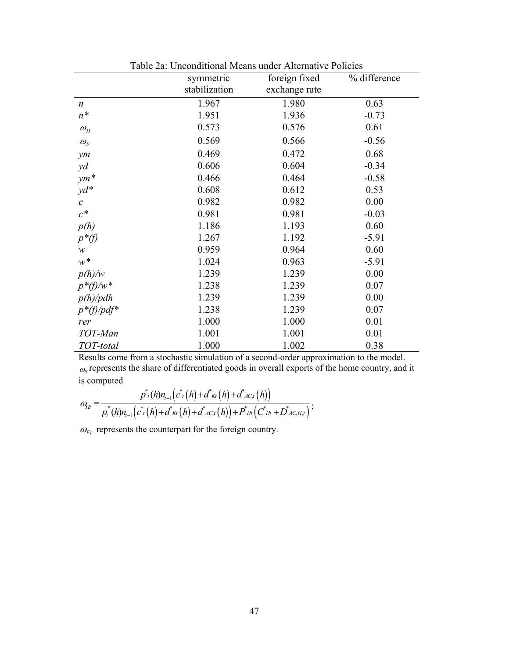|                        | symmetric     | foreign fixed | % difference |
|------------------------|---------------|---------------|--------------|
|                        | stabilization | exchange rate |              |
| $\boldsymbol{n}$       | 1.967         | 1.980         | 0.63         |
| $n^*$                  | 1.951         | 1.936         | $-0.73$      |
| $\omega$ <sub>H</sub>  | 0.573         | 0.576         | 0.61         |
| $\omega_F$             | 0.569         | 0.566         | $-0.56$      |
| $\mathcal{Y}$ <i>m</i> | 0.469         | 0.472         | 0.68         |
| $y$ d                  | 0.606         | 0.604         | $-0.34$      |
| $ym*$                  | 0.466         | 0.464         | $-0.58$      |
| $yd^*$                 | 0.608         | 0.612         | 0.53         |
| $\mathcal{C}$          | 0.982         | 0.982         | 0.00         |
| $c^\ast$               | 0.981         | 0.981         | $-0.03$      |
| p(h)                   | 1.186         | 1.193         | 0.60         |
| $p^*(f)$               | 1.267         | 1.192         | $-5.91$      |
| $\mathcal W$           | 0.959         | 0.964         | 0.60         |
| $w^\ast$               | 1.024         | 0.963         | $-5.91$      |
| p(h)/w                 | 1.239         | 1.239         | 0.00         |
| $p^*$ f)/w*            | 1.238         | 1.239         | 0.07         |
| p(h)/pdh               | 1.239         | 1.239         | 0.00         |
| $p^*(f)/pdf^*$         | 1.238         | 1.239         | 0.07         |
| rer                    | 1.000         | 1.000         | 0.01         |
| TOT-Man                | 1.001         | 1.001         | 0.01         |
| TOT-total              | 1.000         | 1.002         | 0.38         |

Table 2a: Unconditional Means under Alternative Policies

Results come from a stochastic simulation of a second-order approximation to the model.  $\omega$ <sub>H</sub> represents the share of differentiated goods in overall exports of the home country, and it is computed

$$
\omega_{H} = \frac{p^*(h)n_{t-1}(c^*(h) + d^*_{Kt}(h) + d^*_{AC,t}(h))}{p^*(h)n_{t-1}(c^*(h) + d^*_{Kt}(h) + d^*_{AC,t}(h)) + P^*_{Ht}(c^*_{Ht} + D^*_{AC,H,t})};
$$

 $\omega_{Ft}$  represents the counterpart for the foreign country.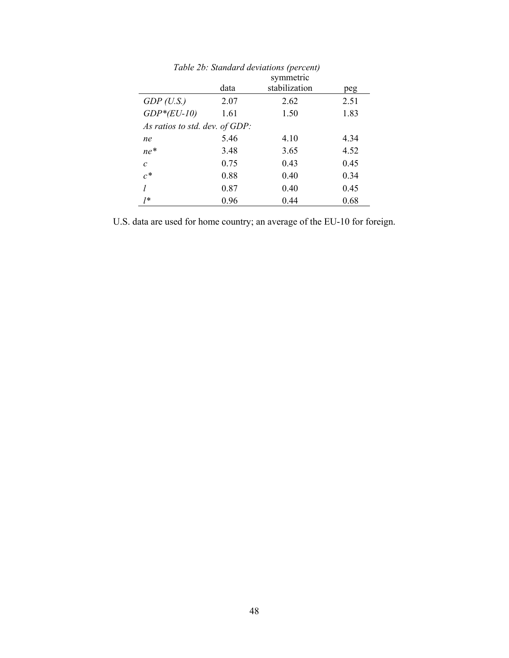|                                | Tubic 20. Shahaan a acrianons (percent)<br>symmetric |               |      |  |  |  |
|--------------------------------|------------------------------------------------------|---------------|------|--|--|--|
|                                | data                                                 | stabilization | peg  |  |  |  |
| GDP(U.S.)                      | 2.07                                                 | 2.62          | 2.51 |  |  |  |
| $GDP*(EU-I0)$                  | 1.61                                                 | 1.50          | 1.83 |  |  |  |
| As ratios to std. dev. of GDP: |                                                      |               |      |  |  |  |
| ne                             | 5.46                                                 | 4.10          | 4.34 |  |  |  |
| $ne^*$                         | 3.48                                                 | 3.65          | 4.52 |  |  |  |
| $\mathcal{C}$                  | 0.75                                                 | 0.43          | 0.45 |  |  |  |
| $c^*$                          | 0.88                                                 | 0.40          | 0.34 |  |  |  |
|                                | 0.87                                                 | 0.40          | 0.45 |  |  |  |
| 1*                             | 0.96                                                 | 0.44          | 0.68 |  |  |  |

*Table 2b: Standard deviations (percent)*

U.S. data are used for home country; an average of the EU-10 for foreign.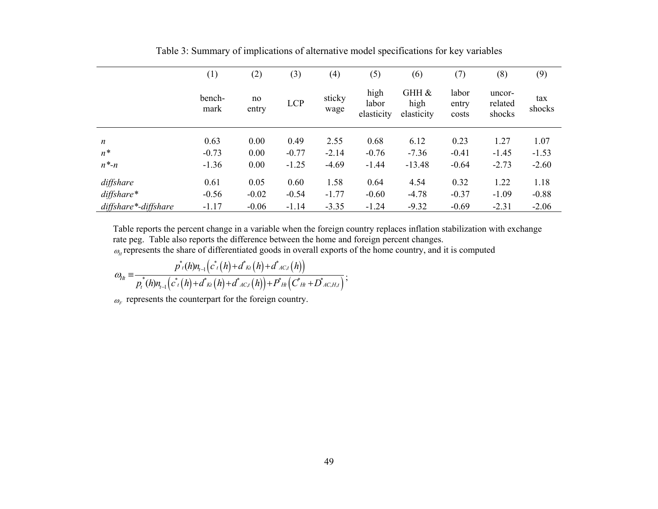|                      | (1)            | (2)         | (3)        | (4)            | (5)                         | (6)                         | (7)                     | (8)                         | (9)           |
|----------------------|----------------|-------------|------------|----------------|-----------------------------|-----------------------------|-------------------------|-----------------------------|---------------|
|                      | bench-<br>mark | no<br>entry | <b>LCP</b> | sticky<br>wage | high<br>labor<br>elasticity | GHH &<br>high<br>elasticity | labor<br>entry<br>costs | uncor-<br>related<br>shocks | tax<br>shocks |
| $\boldsymbol{n}$     | 0.63           | 0.00        | 0.49       | 2.55           | 0.68                        | 6.12                        | 0.23                    | 1.27                        | 1.07          |
| $n^*$                | $-0.73$        | 0.00        | $-0.77$    | $-2.14$        | $-0.76$                     | $-7.36$                     | $-0.41$                 | $-1.45$                     | $-1.53$       |
| $n^*$ - $n$          | $-1.36$        | 0.00        | $-1.25$    | $-4.69$        | $-1.44$                     | $-13.48$                    | $-0.64$                 | $-2.73$                     | $-2.60$       |
| diffshare            | 0.61           | 0.05        | 0.60       | 1.58           | 0.64                        | 4.54                        | 0.32                    | 1.22                        | 1.18          |
| $diff share*$        | $-0.56$        | $-0.02$     | $-0.54$    | $-1.77$        | $-0.60$                     | $-4.78$                     | $-0.37$                 | $-1.09$                     | $-0.88$       |
| diffshare*-diffshare | $-1.17$        | $-0.06$     | $-1.14$    | $-3.35$        | $-1.24$                     | $-9.32$                     | $-0.69$                 | $-2.31$                     | $-2.06$       |

Table 3: Summary of implications of alternative model specifications for key variables

Table reports the percent change in a variable when the foreign country replaces inflation stabilization with exchange rate peg. Table also reports the difference between the home and foreign percent changes.  $\omega_{\mu}$  represents the share of differentiated goods in overall exports of the home country, and it is computed

$$
\omega_{H_{t}} = \frac{p^*(h)n_{t-1}(c^*(h) + d^*_{Kt}(h) + d^*_{AC,t}(h))}{p^*(h)n_{t-1}(c^*(h) + d^*_{Kt}(h) + d^*_{AC,t}(h)) + P^*_{Ht}(c^*_{Ht} + D^*_{AC,H,t})};
$$

 $\omega_F$  represents the counterpart for the foreign country.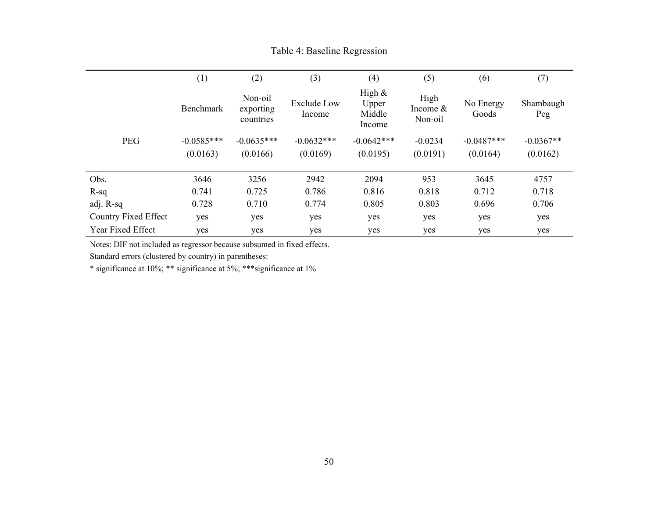|                      | (1)          | (2)                               | (3)                          | (4)                                    | (5)                           | (6)                | (7)              |
|----------------------|--------------|-----------------------------------|------------------------------|----------------------------------------|-------------------------------|--------------------|------------------|
|                      | Benchmark    | Non-oil<br>exporting<br>countries | <b>Exclude Low</b><br>Income | High $\&$<br>Upper<br>Middle<br>Income | High<br>Income $&$<br>Non-oil | No Energy<br>Goods | Shambaugh<br>Peg |
| <b>PEG</b>           | $-0.0585***$ | $-0.0635***$                      | $-0.0632***$                 | $-0.0642***$                           | $-0.0234$                     | $-0.0487***$       | $-0.0367**$      |
|                      | (0.0163)     | (0.0166)                          | (0.0169)                     | (0.0195)                               | (0.0191)                      | (0.0164)           | (0.0162)         |
|                      |              |                                   |                              |                                        |                               |                    |                  |
| Obs.                 | 3646         | 3256                              | 2942                         | 2094                                   | 953                           | 3645               | 4757             |
| $R-sq$               | 0.741        | 0.725                             | 0.786                        | 0.816                                  | 0.818                         | 0.712              | 0.718            |
| adj. R-sq            | 0.728        | 0.710                             | 0.774                        | 0.805                                  | 0.803                         | 0.696              | 0.706            |
| Country Fixed Effect | yes          | yes                               | yes                          | yes                                    | yes                           | yes                | yes              |
| Year Fixed Effect    | yes          | yes                               | yes                          | yes                                    | yes                           | yes                | yes              |

Table 4: Baseline Regression

Notes: DIF not included as regressor because subsumed in fixed effects.

Standard errors (clustered by country) in parentheses:

\* significance at 10%; \*\* significance at 5%; \*\*\*significance at 1%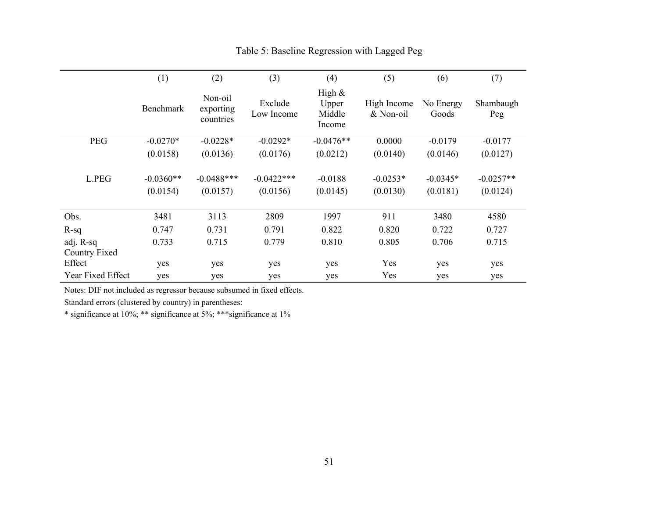|                            | (1)                     | (2)                               | (3)                      | (4)                                    | (5)                      | (6)                    | (7)                     |
|----------------------------|-------------------------|-----------------------------------|--------------------------|----------------------------------------|--------------------------|------------------------|-------------------------|
|                            | <b>Benchmark</b>        | Non-oil<br>exporting<br>countries | Exclude<br>Low Income    | High $\&$<br>Upper<br>Middle<br>Income | High Income<br>& Non-oil | No Energy<br>Goods     | Shambaugh<br>Peg        |
| PEG                        | $-0.0270*$              | $-0.0228*$                        | $-0.0292*$               | $-0.0476**$                            | 0.0000                   | $-0.0179$              | $-0.0177$               |
|                            | (0.0158)                | (0.0136)                          | (0.0176)                 | (0.0212)                               | (0.0140)                 | (0.0146)               | (0.0127)                |
| L.PEG                      | $-0.0360**$<br>(0.0154) | $-0.0488$ ***<br>(0.0157)         | $-0.0422***$<br>(0.0156) | $-0.0188$<br>(0.0145)                  | $-0.0253*$<br>(0.0130)   | $-0.0345*$<br>(0.0181) | $-0.0257**$<br>(0.0124) |
| Obs.                       | 3481                    | 3113                              | 2809                     | 1997                                   | 911                      | 3480                   | 4580                    |
| $R-sq$                     | 0.747                   | 0.731                             | 0.791                    | 0.822                                  | 0.820                    | 0.722                  | 0.727                   |
| adj. R-sq<br>Country Fixed | 0.733                   | 0.715                             | 0.779                    | 0.810                                  | 0.805                    | 0.706                  | 0.715                   |
| Effect                     | yes                     | yes                               | yes                      | yes                                    | Yes                      | yes                    | yes                     |
| Year Fixed Effect          | yes                     | yes                               | yes                      | yes                                    | Yes                      | yes                    | yes                     |

## Table 5: Baseline Regression with Lagged Peg

Notes: DIF not included as regressor because subsumed in fixed effects.

Standard errors (clustered by country) in parentheses:

\* significance at 10%; \*\* significance at 5%; \*\*\*significance at 1%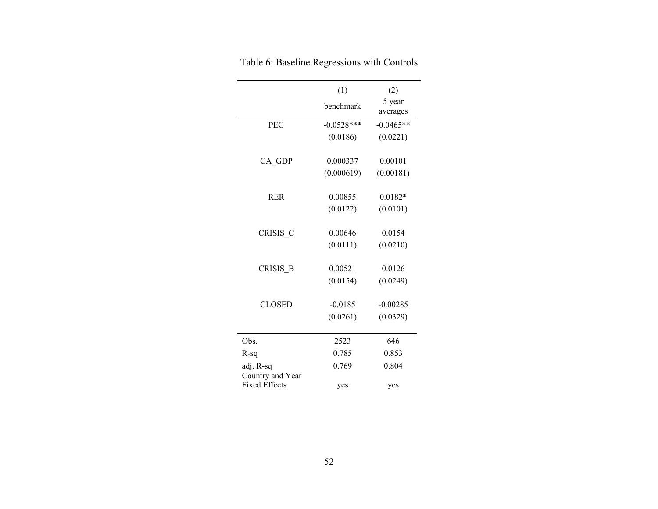|                      | (1)          | (2)         |
|----------------------|--------------|-------------|
|                      | benchmark    | 5 year      |
|                      |              | averages    |
| <b>PEG</b>           | $-0.0528***$ | $-0.0465**$ |
|                      | (0.0186)     | (0.0221)    |
|                      |              |             |
| CA GDP               | 0.000337     | 0.00101     |
|                      | (0.000619)   | (0.00181)   |
|                      |              |             |
| <b>RER</b>           | 0.00855      | $0.0182*$   |
|                      | (0.0122)     | (0.0101)    |
|                      |              |             |
| CRISIS C             | 0.00646      | 0.0154      |
|                      | (0.0111)     | (0.0210)    |
| <b>CRISIS B</b>      | 0.00521      | 0.0126      |
|                      |              |             |
|                      | (0.0154)     | (0.0249)    |
| <b>CLOSED</b>        | $-0.0185$    | $-0.00285$  |
|                      | (0.0261)     | (0.0329)    |
|                      |              |             |
| Obs.                 | 2523         | 646         |
| $R-sq$               | 0.785        | 0.853       |
| adj. R-sq            | 0.769        | 0.804       |
| Country and Year     |              |             |
| <b>Fixed Effects</b> | yes          | yes         |

Table 6: Baseline Regressions with Controls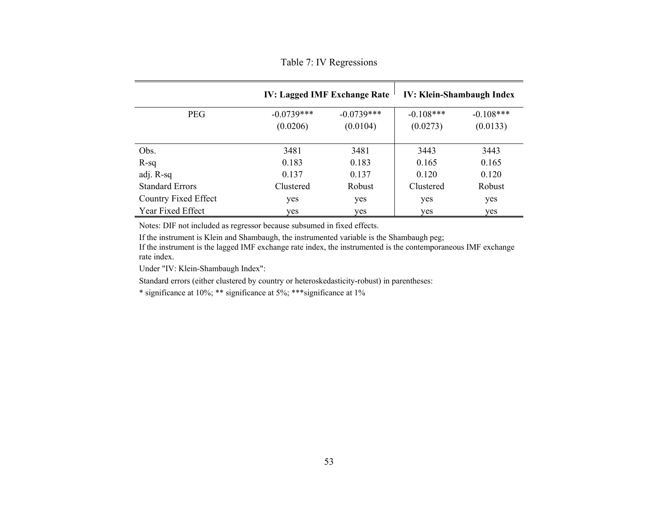Table 7: IV Regressions

|                        |                          | <b>IV: Lagged IMF Exchange Rate</b> | <b>IV: Klein-Shambaugh Index</b> |                         |  |
|------------------------|--------------------------|-------------------------------------|----------------------------------|-------------------------|--|
| <b>PEG</b>             | $-0.0739***$<br>(0.0206) | $-0.0739***$<br>(0.0104)            | $-0.108***$<br>(0.0273)          | $-0.108***$<br>(0.0133) |  |
| Obs.                   | 3481                     | 3481                                | 3443                             | 3443                    |  |
| $R-sq$                 | 0.183                    | 0.183                               | 0.165                            | 0.165                   |  |
| adj. R-sq              | 0.137                    | 0.137                               | 0.120                            | 0.120                   |  |
| <b>Standard Errors</b> | Clustered                | Robust                              | Clustered                        | Robust                  |  |
| Country Fixed Effect   | yes                      | yes                                 | yes                              | yes                     |  |
| Year Fixed Effect      | yes                      | yes                                 | yes                              | yes                     |  |

Notes: DIF not included as regressor because subsumed in fixed effects.

If the instrument is Klein and Shambaugh, the instrumented variable is the Shambaugh peg;

If the instrument is the lagged IMF exchange rate index, the instrumented is the contemporaneous IMF exchange rate index.

Under "IV: Klein-Shambaugh Index":

Standard errors (either clustered by country or heteroskedasticity-robust) in parentheses:

\* significance at 10%; \*\* significance at 5%; \*\*\*significance at 1%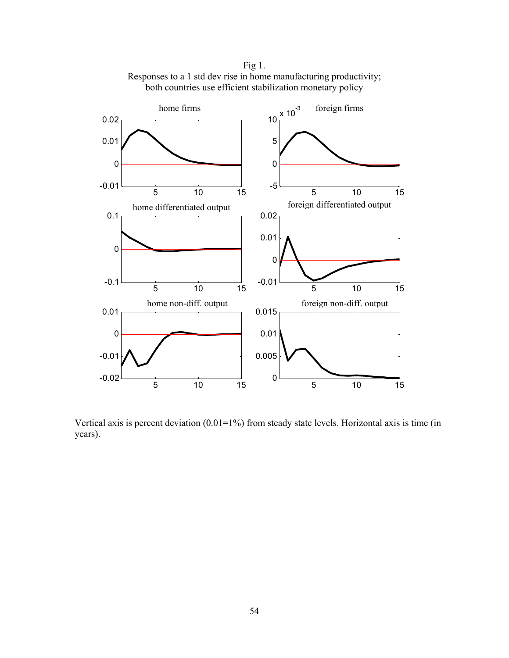

Fig 1. Responses to a 1 std dev rise in home manufacturing productivity; both countries use efficient stabilization monetary policy

Vertical axis is percent deviation (0.01=1%) from steady state levels. Horizontal axis is time (in years).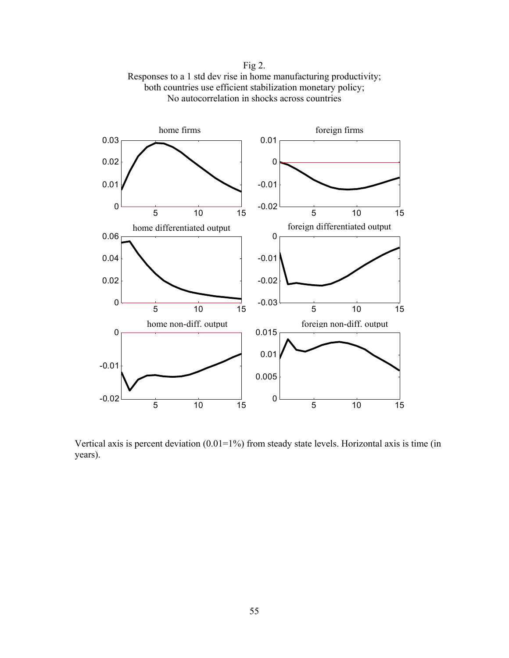Fig 2. Responses to a 1 std dev rise in home manufacturing productivity; both countries use efficient stabilization monetary policy; No autocorrelation in shocks across countries



Vertical axis is percent deviation  $(0.01=1\%)$  from steady state levels. Horizontal axis is time (in years).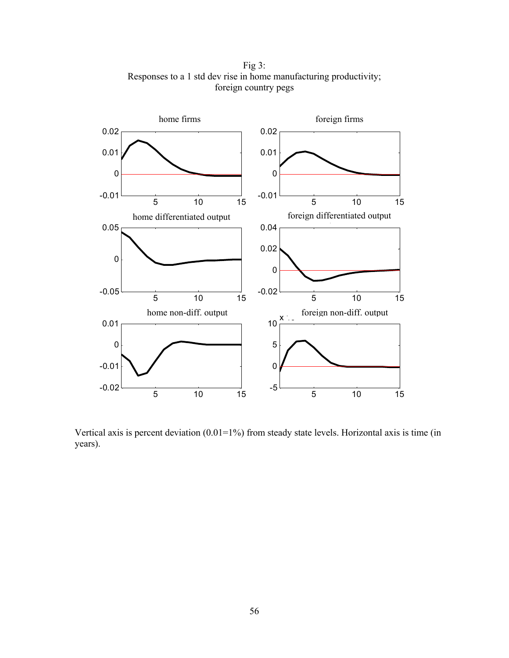5 10 15 -0.01 0 0.01 0.02 home firms 5 10 15 -0.01 0 0.01 0.02 foreign firms 5 10 15 -0.05 0 0.05 home differentiated output 5 10 15 -0.02 0 0.02 0.04 foreign differentiated output -0.02 -0.01 0 0.01 home non-diff. output -5 0 5 10  $x \rightarrow$  foreign non-diff. output

Fig 3: Responses to a 1 std dev rise in home manufacturing productivity; foreign country pegs

Vertical axis is percent deviation (0.01=1%) from steady state levels. Horizontal axis is time (in years).

5 10 15

5 10 15